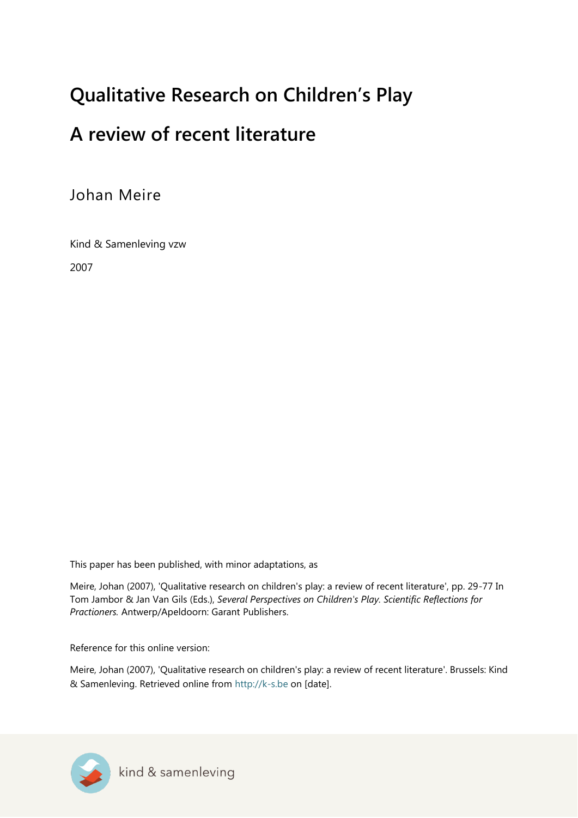# **Qualitative Research on Children's Play**

# **A review of recent literature**

Johan Meire

Kind & Samenleving vzw

2007

This paper has been published, with minor adaptations, as

Meire, Johan (2007), 'Qualitative research on children's play: a review of recent literature', pp. 29-77 In Tom Jambor & Jan Van Gils (Eds.), *Several Perspectives on Children's Play. Scientific Reflections for Practioners.* Antwerp/Apeldoorn: Garant Publishers.

Reference for this online version:

Meire, Johan (2007), 'Qualitative research on children's play: a review of recent literature'. Brussels: Kind & Samenleving. Retrieved online from [http://k-s.be](http://k-s.be/) on [date].

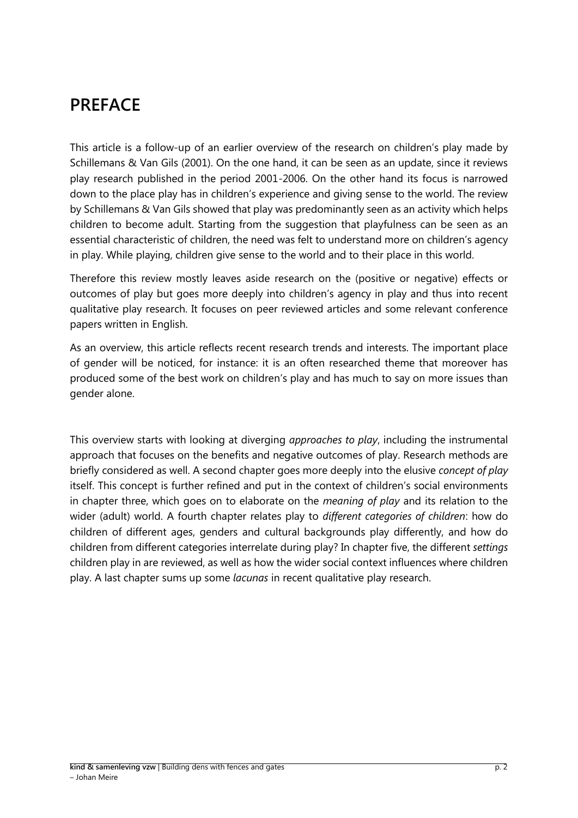## **PREFACE**

This article is a follow-up of an earlier overview of the research on children's play made by Schillemans & Van Gils (2001). On the one hand, it can be seen as an update, since it reviews play research published in the period 2001-2006. On the other hand its focus is narrowed down to the place play has in children's experience and giving sense to the world. The review by Schillemans & Van Gils showed that play was predominantly seen as an activity which helps children to become adult. Starting from the suggestion that playfulness can be seen as an essential characteristic of children, the need was felt to understand more on children's agency in play. While playing, children give sense to the world and to their place in this world.

Therefore this review mostly leaves aside research on the (positive or negative) effects or outcomes of play but goes more deeply into children's agency in play and thus into recent qualitative play research. It focuses on peer reviewed articles and some relevant conference papers written in English.

As an overview, this article reflects recent research trends and interests. The important place of gender will be noticed, for instance: it is an often researched theme that moreover has produced some of the best work on children's play and has much to say on more issues than gender alone.

This overview starts with looking at diverging *approaches to play*, including the instrumental approach that focuses on the benefits and negative outcomes of play. Research methods are briefly considered as well. A second chapter goes more deeply into the elusive *concept of play* itself. This concept is further refined and put in the context of children's social environments in chapter three, which goes on to elaborate on the *meaning of play* and its relation to the wider (adult) world. A fourth chapter relates play to *different categories of children*: how do children of different ages, genders and cultural backgrounds play differently, and how do children from different categories interrelate during play? In chapter five, the different *settings* children play in are reviewed, as well as how the wider social context influences where children play. A last chapter sums up some *lacunas* in recent qualitative play research.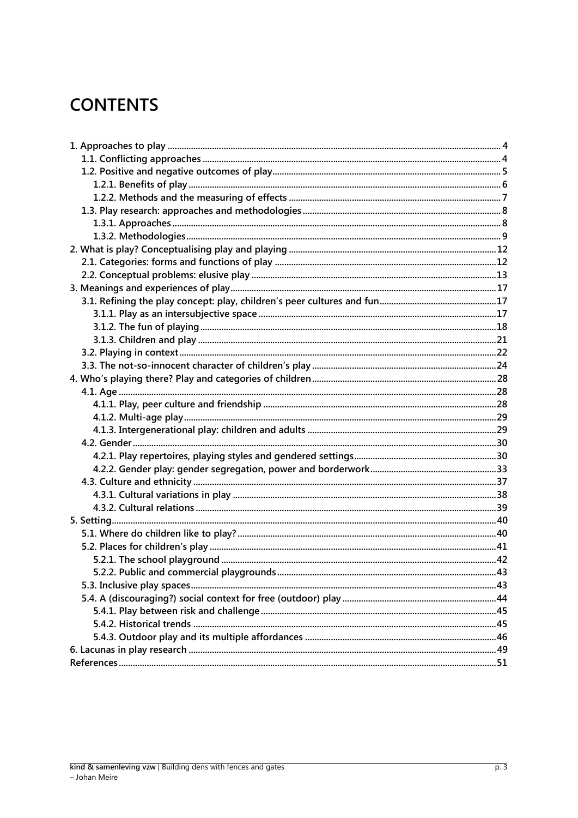# **CONTENTS**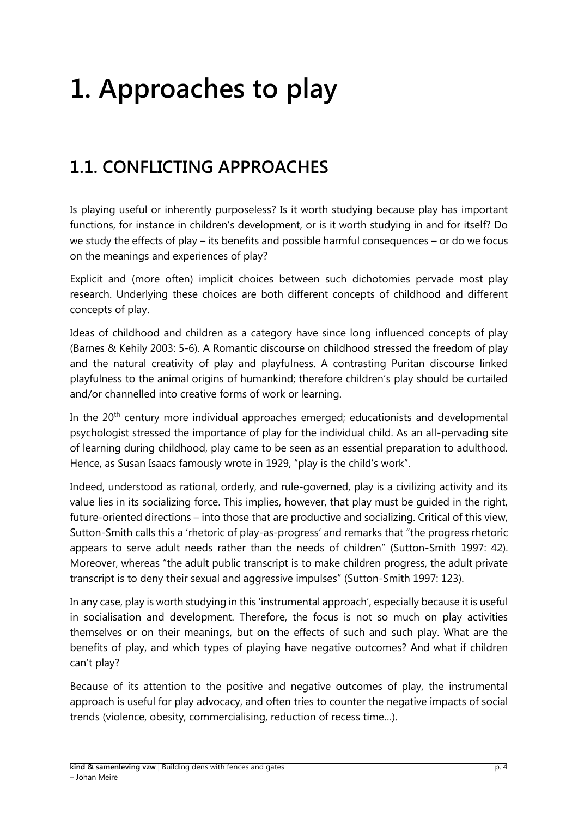# <span id="page-3-0"></span>**1. Approaches to play**

# <span id="page-3-1"></span>**1.1. CONFLICTING APPROACHES**

Is playing useful or inherently purposeless? Is it worth studying because play has important functions, for instance in children's development, or is it worth studying in and for itself? Do we study the effects of play – its benefits and possible harmful consequences – or do we focus on the meanings and experiences of play?

Explicit and (more often) implicit choices between such dichotomies pervade most play research. Underlying these choices are both different concepts of childhood and different concepts of play.

Ideas of childhood and children as a category have since long influenced concepts of play (Barnes & Kehily 2003: 5-6). A Romantic discourse on childhood stressed the freedom of play and the natural creativity of play and playfulness. A contrasting Puritan discourse linked playfulness to the animal origins of humankind; therefore children's play should be curtailed and/or channelled into creative forms of work or learning.

In the 20<sup>th</sup> century more individual approaches emerged; educationists and developmental psychologist stressed the importance of play for the individual child. As an all-pervading site of learning during childhood, play came to be seen as an essential preparation to adulthood. Hence, as Susan Isaacs famously wrote in 1929, "play is the child's work".

Indeed, understood as rational, orderly, and rule-governed, play is a civilizing activity and its value lies in its socializing force. This implies, however, that play must be guided in the right, future-oriented directions – into those that are productive and socializing. Critical of this view, Sutton-Smith calls this a 'rhetoric of play-as-progress' and remarks that "the progress rhetoric appears to serve adult needs rather than the needs of children" (Sutton-Smith 1997: 42). Moreover, whereas "the adult public transcript is to make children progress, the adult private transcript is to deny their sexual and aggressive impulses" (Sutton-Smith 1997: 123).

In any case, play is worth studying in this 'instrumental approach', especially because it is useful in socialisation and development. Therefore, the focus is not so much on play activities themselves or on their meanings, but on the effects of such and such play. What are the benefits of play, and which types of playing have negative outcomes? And what if children can't play?

Because of its attention to the positive and negative outcomes of play, the instrumental approach is useful for play advocacy, and often tries to counter the negative impacts of social trends (violence, obesity, commercialising, reduction of recess time…).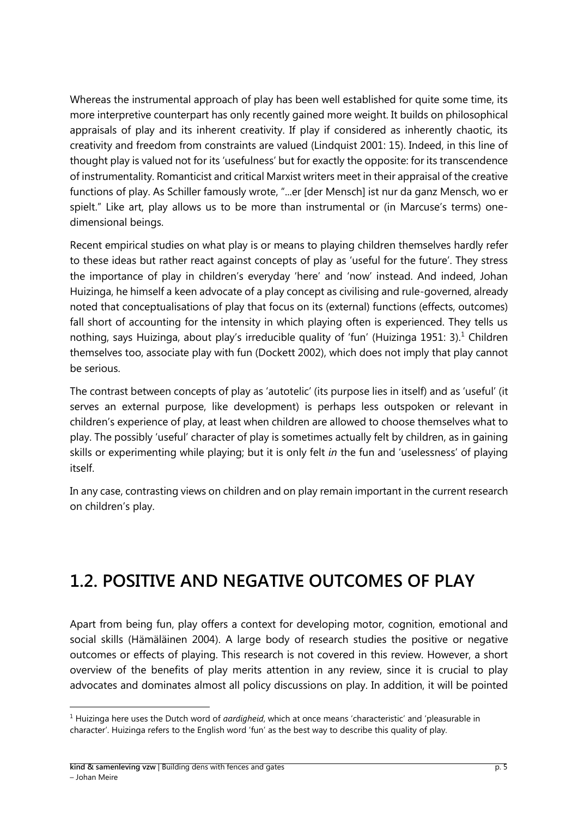Whereas the instrumental approach of play has been well established for quite some time, its more interpretive counterpart has only recently gained more weight. It builds on philosophical appraisals of play and its inherent creativity. If play if considered as inherently chaotic, its creativity and freedom from constraints are valued (Lindquist 2001: 15). Indeed, in this line of thought play is valued not for its 'usefulness' but for exactly the opposite: for its transcendence of instrumentality. Romanticist and critical Marxist writers meet in their appraisal of the creative functions of play. As Schiller famously wrote, "...er [der Mensch] ist nur da ganz Mensch, wo er spielt." Like art, play allows us to be more than instrumental or (in Marcuse's terms) onedimensional beings.

Recent empirical studies on what play is or means to playing children themselves hardly refer to these ideas but rather react against concepts of play as 'useful for the future'. They stress the importance of play in children's everyday 'here' and 'now' instead. And indeed, Johan Huizinga, he himself a keen advocate of a play concept as civilising and rule-governed, already noted that conceptualisations of play that focus on its (external) functions (effects, outcomes) fall short of accounting for the intensity in which playing often is experienced. They tells us nothing, says Huizinga, about play's irreducible quality of 'fun' (Huizinga 1951: 3).<sup>1</sup> Children themselves too, associate play with fun (Dockett 2002), which does not imply that play cannot be serious.

The contrast between concepts of play as 'autotelic' (its purpose lies in itself) and as 'useful' (it serves an external purpose, like development) is perhaps less outspoken or relevant in children's experience of play, at least when children are allowed to choose themselves what to play. The possibly 'useful' character of play is sometimes actually felt by children, as in gaining skills or experimenting while playing; but it is only felt *in* the fun and 'uselessness' of playing itself.

In any case, contrasting views on children and on play remain important in the current research on children's play.

## <span id="page-4-0"></span>**1.2. POSITIVE AND NEGATIVE OUTCOMES OF PLAY**

Apart from being fun, play offers a context for developing motor, cognition, emotional and social skills (Hämäläinen 2004). A large body of research studies the positive or negative outcomes or effects of playing. This research is not covered in this review. However, a short overview of the benefits of play merits attention in any review, since it is crucial to play advocates and dominates almost all policy discussions on play. In addition, it will be pointed

 $\overline{a}$ 

<sup>1</sup> Huizinga here uses the Dutch word of *aardigheid*, which at once means 'characteristic' and 'pleasurable in character'. Huizinga refers to the English word 'fun' as the best way to describe this quality of play.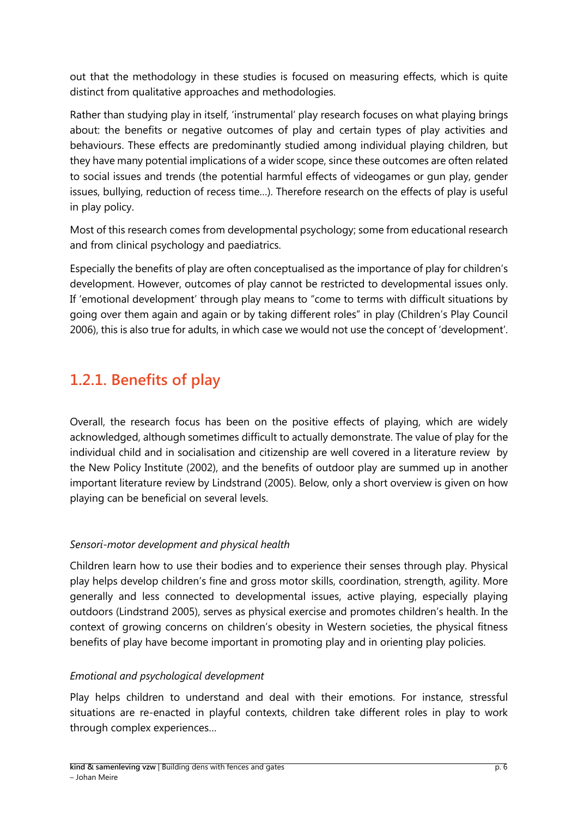out that the methodology in these studies is focused on measuring effects, which is quite distinct from qualitative approaches and methodologies.

Rather than studying play in itself, 'instrumental' play research focuses on what playing brings about: the benefits or negative outcomes of play and certain types of play activities and behaviours. These effects are predominantly studied among individual playing children, but they have many potential implications of a wider scope, since these outcomes are often related to social issues and trends (the potential harmful effects of videogames or gun play, gender issues, bullying, reduction of recess time…). Therefore research on the effects of play is useful in play policy.

Most of this research comes from developmental psychology; some from educational research and from clinical psychology and paediatrics.

Especially the benefits of play are often conceptualised as the importance of play for children's development. However, outcomes of play cannot be restricted to developmental issues only. If 'emotional development' through play means to "come to terms with difficult situations by going over them again and again or by taking different roles" in play (Children's Play Council 2006), this is also true for adults, in which case we would not use the concept of 'development'.

## <span id="page-5-0"></span>**1.2.1. Benefits of play**

Overall, the research focus has been on the positive effects of playing, which are widely acknowledged, although sometimes difficult to actually demonstrate. The value of play for the individual child and in socialisation and citizenship are well covered in a literature review by the New Policy Institute (2002), and the benefits of outdoor play are summed up in another important literature review by Lindstrand (2005). Below, only a short overview is given on how playing can be beneficial on several levels.

#### *Sensori-motor development and physical health*

Children learn how to use their bodies and to experience their senses through play. Physical play helps develop children's fine and gross motor skills, coordination, strength, agility. More generally and less connected to developmental issues, active playing, especially playing outdoors (Lindstrand 2005), serves as physical exercise and promotes children's health. In the context of growing concerns on children's obesity in Western societies, the physical fitness benefits of play have become important in promoting play and in orienting play policies.

#### *Emotional and psychological development*

Play helps children to understand and deal with their emotions. For instance, stressful situations are re-enacted in playful contexts, children take different roles in play to work through complex experiences…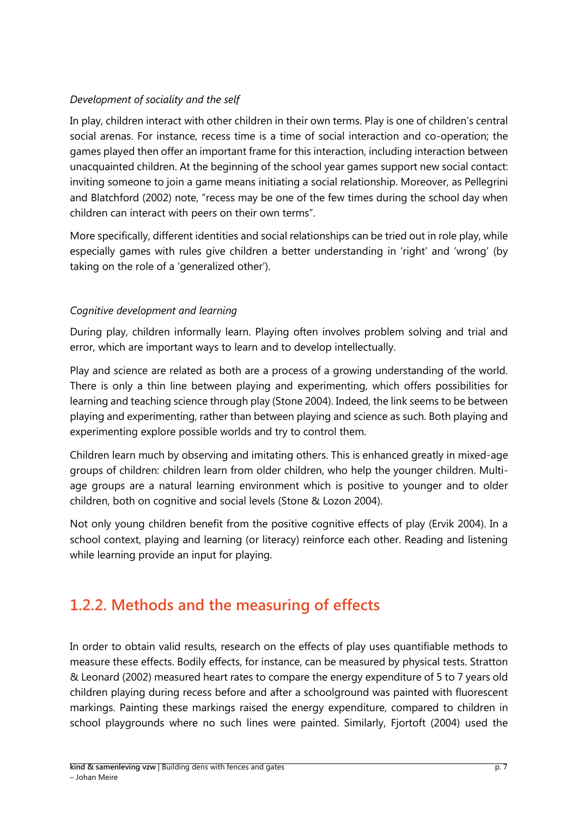#### *Development of sociality and the self*

In play, children interact with other children in their own terms. Play is one of children's central social arenas. For instance, recess time is a time of social interaction and co-operation; the games played then offer an important frame for this interaction, including interaction between unacquainted children. At the beginning of the school year games support new social contact: inviting someone to join a game means initiating a social relationship. Moreover, as Pellegrini and Blatchford (2002) note, "recess may be one of the few times during the school day when children can interact with peers on their own terms".

More specifically, different identities and social relationships can be tried out in role play, while especially games with rules give children a better understanding in 'right' and 'wrong' (by taking on the role of a 'generalized other').

#### *Cognitive development and learning*

During play, children informally learn. Playing often involves problem solving and trial and error, which are important ways to learn and to develop intellectually.

Play and science are related as both are a process of a growing understanding of the world. There is only a thin line between playing and experimenting, which offers possibilities for learning and teaching science through play (Stone 2004). Indeed, the link seems to be between playing and experimenting, rather than between playing and science as such. Both playing and experimenting explore possible worlds and try to control them.

Children learn much by observing and imitating others. This is enhanced greatly in mixed-age groups of children: children learn from older children, who help the younger children. Multiage groups are a natural learning environment which is positive to younger and to older children, both on cognitive and social levels (Stone & Lozon 2004).

Not only young children benefit from the positive cognitive effects of play (Ervik 2004). In a school context, playing and learning (or literacy) reinforce each other. Reading and listening while learning provide an input for playing.

### <span id="page-6-0"></span>**1.2.2. Methods and the measuring of effects**

In order to obtain valid results, research on the effects of play uses quantifiable methods to measure these effects. Bodily effects, for instance, can be measured by physical tests. Stratton & Leonard (2002) measured heart rates to compare the energy expenditure of 5 to 7 years old children playing during recess before and after a schoolground was painted with fluorescent markings. Painting these markings raised the energy expenditure, compared to children in school playgrounds where no such lines were painted. Similarly, Fjortoft (2004) used the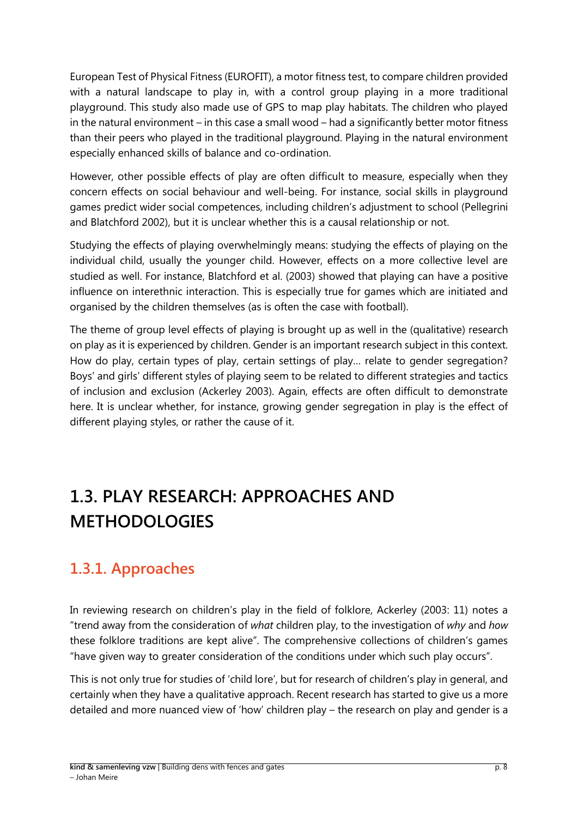European Test of Physical Fitness (EUROFIT), a motor fitness test, to compare children provided with a natural landscape to play in, with a control group playing in a more traditional playground. This study also made use of GPS to map play habitats. The children who played in the natural environment – in this case a small wood – had a significantly better motor fitness than their peers who played in the traditional playground. Playing in the natural environment especially enhanced skills of balance and co-ordination.

However, other possible effects of play are often difficult to measure, especially when they concern effects on social behaviour and well-being. For instance, social skills in playground games predict wider social competences, including children's adjustment to school (Pellegrini and Blatchford 2002), but it is unclear whether this is a causal relationship or not.

Studying the effects of playing overwhelmingly means: studying the effects of playing on the individual child, usually the younger child. However, effects on a more collective level are studied as well. For instance, Blatchford et al. (2003) showed that playing can have a positive influence on interethnic interaction. This is especially true for games which are initiated and organised by the children themselves (as is often the case with football).

The theme of group level effects of playing is brought up as well in the (qualitative) research on play as it is experienced by children. Gender is an important research subject in this context. How do play, certain types of play, certain settings of play… relate to gender segregation? Boys' and girls' different styles of playing seem to be related to different strategies and tactics of inclusion and exclusion (Ackerley 2003). Again, effects are often difficult to demonstrate here. It is unclear whether, for instance, growing gender segregation in play is the effect of different playing styles, or rather the cause of it.

# <span id="page-7-0"></span>**1.3. PLAY RESEARCH: APPROACHES AND METHODOLOGIES**

### <span id="page-7-1"></span>**1.3.1. Approaches**

In reviewing research on children's play in the field of folklore, Ackerley (2003: 11) notes a "trend away from the consideration of *what* children play, to the investigation of *why* and *how*  these folklore traditions are kept alive". The comprehensive collections of children's games "have given way to greater consideration of the conditions under which such play occurs".

This is not only true for studies of 'child lore', but for research of children's play in general, and certainly when they have a qualitative approach. Recent research has started to give us a more detailed and more nuanced view of 'how' children play – the research on play and gender is a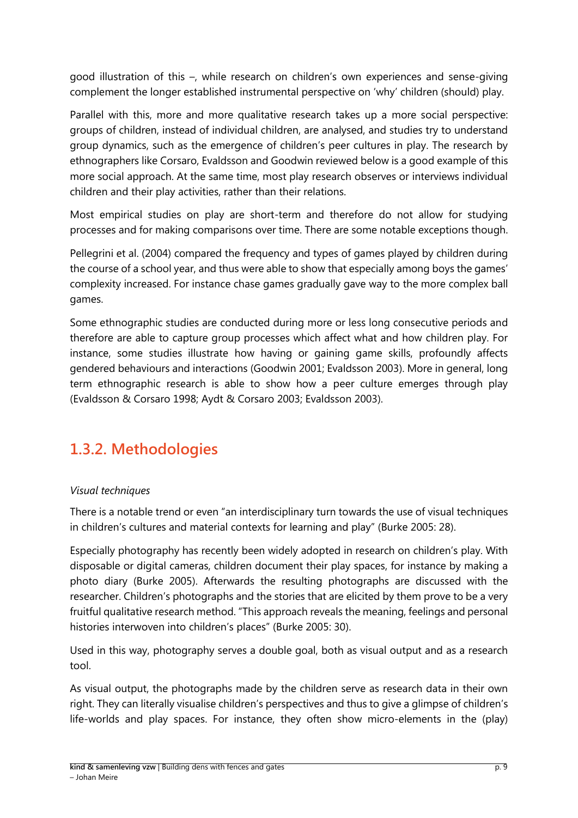good illustration of this –, while research on children's own experiences and sense-giving complement the longer established instrumental perspective on 'why' children (should) play.

Parallel with this, more and more qualitative research takes up a more social perspective: groups of children, instead of individual children, are analysed, and studies try to understand group dynamics, such as the emergence of children's peer cultures in play. The research by ethnographers like Corsaro, Evaldsson and Goodwin reviewed below is a good example of this more social approach. At the same time, most play research observes or interviews individual children and their play activities, rather than their relations.

Most empirical studies on play are short-term and therefore do not allow for studying processes and for making comparisons over time. There are some notable exceptions though.

Pellegrini et al. (2004) compared the frequency and types of games played by children during the course of a school year, and thus were able to show that especially among boys the games' complexity increased. For instance chase games gradually gave way to the more complex ball games.

Some ethnographic studies are conducted during more or less long consecutive periods and therefore are able to capture group processes which affect what and how children play. For instance, some studies illustrate how having or gaining game skills, profoundly affects gendered behaviours and interactions (Goodwin 2001; Evaldsson 2003). More in general, long term ethnographic research is able to show how a peer culture emerges through play (Evaldsson & Corsaro 1998; Aydt & Corsaro 2003; Evaldsson 2003).

## <span id="page-8-0"></span>**1.3.2. Methodologies**

#### *Visual techniques*

There is a notable trend or even "an interdisciplinary turn towards the use of visual techniques in children's cultures and material contexts for learning and play" (Burke 2005: 28).

Especially photography has recently been widely adopted in research on children's play. With disposable or digital cameras, children document their play spaces, for instance by making a photo diary (Burke 2005). Afterwards the resulting photographs are discussed with the researcher. Children's photographs and the stories that are elicited by them prove to be a very fruitful qualitative research method. "This approach reveals the meaning, feelings and personal histories interwoven into children's places" (Burke 2005: 30).

Used in this way, photography serves a double goal, both as visual output and as a research tool.

As visual output, the photographs made by the children serve as research data in their own right. They can literally visualise children's perspectives and thus to give a glimpse of children's life-worlds and play spaces. For instance, they often show micro-elements in the (play)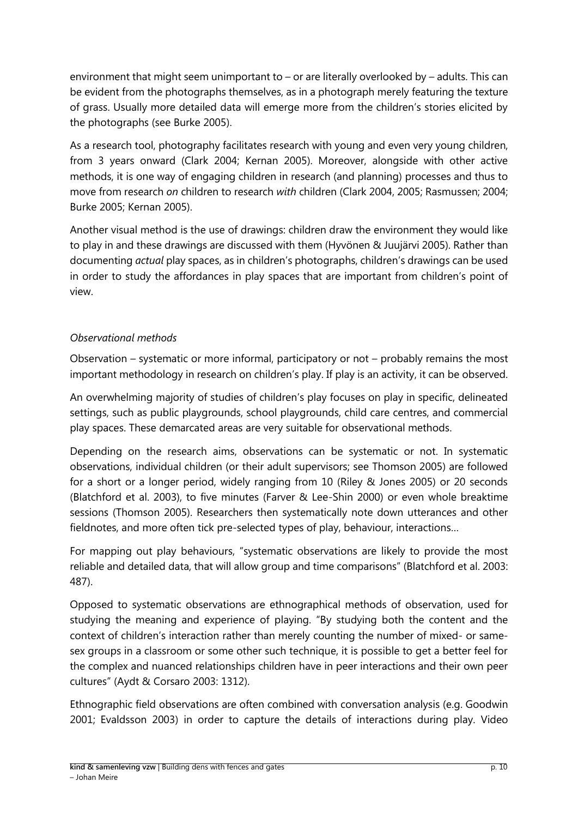environment that might seem unimportant to – or are literally overlooked by – adults. This can be evident from the photographs themselves, as in a photograph merely featuring the texture of grass. Usually more detailed data will emerge more from the children's stories elicited by the photographs (see Burke 2005).

As a research tool, photography facilitates research with young and even very young children, from 3 years onward (Clark 2004; Kernan 2005). Moreover, alongside with other active methods, it is one way of engaging children in research (and planning) processes and thus to move from research *on* children to research *with* children (Clark 2004, 2005; Rasmussen; 2004; Burke 2005; Kernan 2005).

Another visual method is the use of drawings: children draw the environment they would like to play in and these drawings are discussed with them (Hyvönen & Juujärvi 2005). Rather than documenting *actual* play spaces, as in children's photographs, children's drawings can be used in order to study the affordances in play spaces that are important from children's point of view.

#### *Observational methods*

Observation – systematic or more informal, participatory or not – probably remains the most important methodology in research on children's play. If play is an activity, it can be observed.

An overwhelming majority of studies of children's play focuses on play in specific, delineated settings, such as public playgrounds, school playgrounds, child care centres, and commercial play spaces. These demarcated areas are very suitable for observational methods.

Depending on the research aims, observations can be systematic or not. In systematic observations, individual children (or their adult supervisors; see Thomson 2005) are followed for a short or a longer period, widely ranging from 10 (Riley & Jones 2005) or 20 seconds (Blatchford et al. 2003), to five minutes (Farver & Lee-Shin 2000) or even whole breaktime sessions (Thomson 2005). Researchers then systematically note down utterances and other fieldnotes, and more often tick pre-selected types of play, behaviour, interactions…

For mapping out play behaviours, "systematic observations are likely to provide the most reliable and detailed data, that will allow group and time comparisons" (Blatchford et al. 2003: 487).

Opposed to systematic observations are ethnographical methods of observation, used for studying the meaning and experience of playing. "By studying both the content and the context of children's interaction rather than merely counting the number of mixed- or samesex groups in a classroom or some other such technique, it is possible to get a better feel for the complex and nuanced relationships children have in peer interactions and their own peer cultures" (Aydt & Corsaro 2003: 1312).

Ethnographic field observations are often combined with conversation analysis (e.g. Goodwin 2001; Evaldsson 2003) in order to capture the details of interactions during play. Video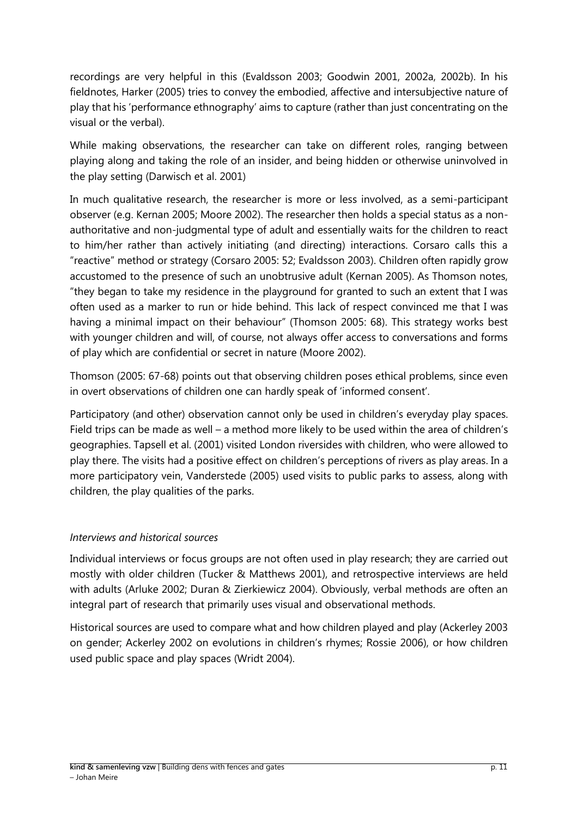recordings are very helpful in this (Evaldsson 2003; Goodwin 2001, 2002a, 2002b). In his fieldnotes, Harker (2005) tries to convey the embodied, affective and intersubjective nature of play that his 'performance ethnography' aims to capture (rather than just concentrating on the visual or the verbal).

While making observations, the researcher can take on different roles, ranging between playing along and taking the role of an insider, and being hidden or otherwise uninvolved in the play setting (Darwisch et al. 2001)

In much qualitative research, the researcher is more or less involved, as a semi-participant observer (e.g. Kernan 2005; Moore 2002). The researcher then holds a special status as a nonauthoritative and non-judgmental type of adult and essentially waits for the children to react to him/her rather than actively initiating (and directing) interactions. Corsaro calls this a "reactive" method or strategy (Corsaro 2005: 52; Evaldsson 2003). Children often rapidly grow accustomed to the presence of such an unobtrusive adult (Kernan 2005). As Thomson notes, "they began to take my residence in the playground for granted to such an extent that I was often used as a marker to run or hide behind. This lack of respect convinced me that I was having a minimal impact on their behaviour" (Thomson 2005: 68). This strategy works best with younger children and will, of course, not always offer access to conversations and forms of play which are confidential or secret in nature (Moore 2002).

Thomson (2005: 67-68) points out that observing children poses ethical problems, since even in overt observations of children one can hardly speak of 'informed consent'.

Participatory (and other) observation cannot only be used in children's everyday play spaces. Field trips can be made as well – a method more likely to be used within the area of children's geographies. Tapsell et al. (2001) visited London riversides with children, who were allowed to play there. The visits had a positive effect on children's perceptions of rivers as play areas. In a more participatory vein, Vanderstede (2005) used visits to public parks to assess, along with children, the play qualities of the parks.

#### *Interviews and historical sources*

Individual interviews or focus groups are not often used in play research; they are carried out mostly with older children (Tucker & Matthews 2001), and retrospective interviews are held with adults (Arluke 2002; Duran & Zierkiewicz 2004). Obviously, verbal methods are often an integral part of research that primarily uses visual and observational methods.

Historical sources are used to compare what and how children played and play (Ackerley 2003 on gender; Ackerley 2002 on evolutions in children's rhymes; Rossie 2006), or how children used public space and play spaces (Wridt 2004).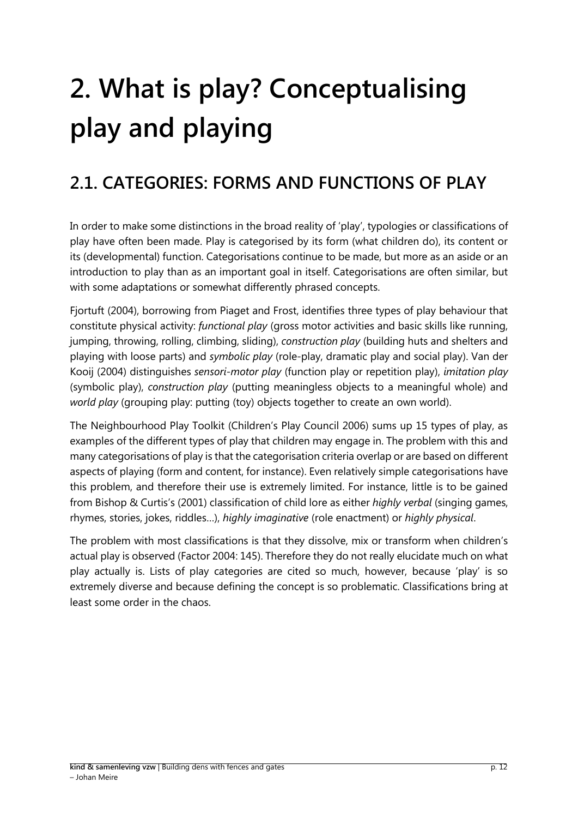# <span id="page-11-0"></span>**2. What is play? Conceptualising play and playing**

# <span id="page-11-1"></span>**2.1. CATEGORIES: FORMS AND FUNCTIONS OF PLAY**

In order to make some distinctions in the broad reality of 'play', typologies or classifications of play have often been made. Play is categorised by its form (what children do), its content or its (developmental) function. Categorisations continue to be made, but more as an aside or an introduction to play than as an important goal in itself. Categorisations are often similar, but with some adaptations or somewhat differently phrased concepts.

Fjortuft (2004), borrowing from Piaget and Frost, identifies three types of play behaviour that constitute physical activity: *functional play* (gross motor activities and basic skills like running, jumping, throwing, rolling, climbing, sliding), *construction play* (building huts and shelters and playing with loose parts) and *symbolic play* (role-play, dramatic play and social play). Van der Kooij (2004) distinguishes *sensori-motor play* (function play or repetition play), *imitation play* (symbolic play), *construction play* (putting meaningless objects to a meaningful whole) and *world play* (grouping play: putting (toy) objects together to create an own world).

The Neighbourhood Play Toolkit (Children's Play Council 2006) sums up 15 types of play, as examples of the different types of play that children may engage in. The problem with this and many categorisations of play is that the categorisation criteria overlap or are based on different aspects of playing (form and content, for instance). Even relatively simple categorisations have this problem, and therefore their use is extremely limited. For instance, little is to be gained from Bishop & Curtis's (2001) classification of child lore as either *highly verbal* (singing games, rhymes, stories, jokes, riddles…), *highly imaginative* (role enactment) or *highly physical*.

The problem with most classifications is that they dissolve, mix or transform when children's actual play is observed (Factor 2004: 145). Therefore they do not really elucidate much on what play actually is. Lists of play categories are cited so much, however, because 'play' is so extremely diverse and because defining the concept is so problematic. Classifications bring at least some order in the chaos.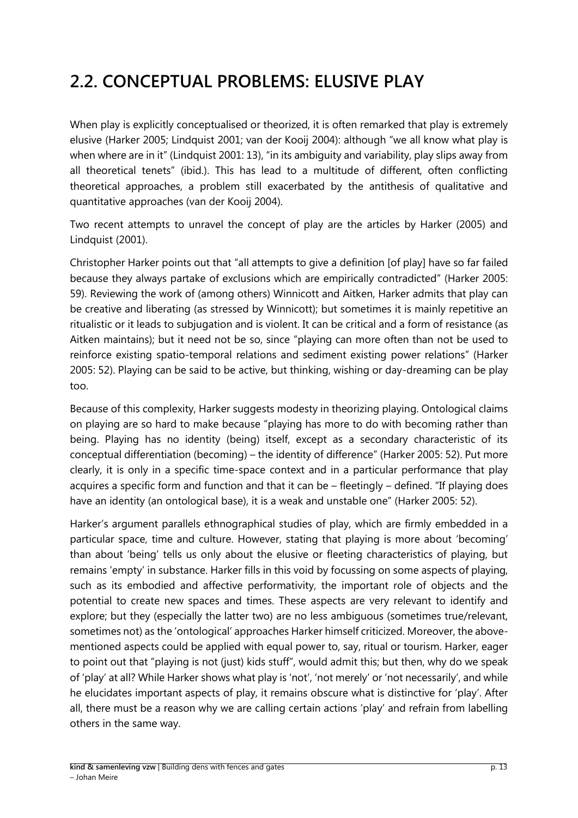# <span id="page-12-0"></span>**2.2. CONCEPTUAL PROBLEMS: ELUSIVE PLAY**

When play is explicitly conceptualised or theorized, it is often remarked that play is extremely elusive (Harker 2005; Lindquist 2001; van der Kooij 2004): although "we all know what play is when where are in it" (Lindquist 2001: 13), "in its ambiguity and variability, play slips away from all theoretical tenets" (ibid.). This has lead to a multitude of different, often conflicting theoretical approaches, a problem still exacerbated by the antithesis of qualitative and quantitative approaches (van der Kooij 2004).

Two recent attempts to unravel the concept of play are the articles by Harker (2005) and Lindquist (2001).

Christopher Harker points out that "all attempts to give a definition [of play] have so far failed because they always partake of exclusions which are empirically contradicted" (Harker 2005: 59). Reviewing the work of (among others) Winnicott and Aitken, Harker admits that play can be creative and liberating (as stressed by Winnicott); but sometimes it is mainly repetitive an ritualistic or it leads to subjugation and is violent. It can be critical and a form of resistance (as Aitken maintains); but it need not be so, since "playing can more often than not be used to reinforce existing spatio-temporal relations and sediment existing power relations" (Harker 2005: 52). Playing can be said to be active, but thinking, wishing or day-dreaming can be play too.

Because of this complexity, Harker suggests modesty in theorizing playing. Ontological claims on playing are so hard to make because "playing has more to do with becoming rather than being. Playing has no identity (being) itself, except as a secondary characteristic of its conceptual differentiation (becoming) – the identity of difference" (Harker 2005: 52). Put more clearly, it is only in a specific time-space context and in a particular performance that play acquires a specific form and function and that it can be – fleetingly – defined. "If playing does have an identity (an ontological base), it is a weak and unstable one" (Harker 2005: 52).

Harker's argument parallels ethnographical studies of play, which are firmly embedded in a particular space, time and culture. However, stating that playing is more about 'becoming' than about 'being' tells us only about the elusive or fleeting characteristics of playing, but remains 'empty' in substance. Harker fills in this void by focussing on some aspects of playing, such as its embodied and affective performativity, the important role of objects and the potential to create new spaces and times. These aspects are very relevant to identify and explore; but they (especially the latter two) are no less ambiguous (sometimes true/relevant, sometimes not) as the 'ontological' approaches Harker himself criticized. Moreover, the abovementioned aspects could be applied with equal power to, say, ritual or tourism. Harker, eager to point out that "playing is not (just) kids stuff", would admit this; but then, why do we speak of 'play' at all? While Harker shows what play is 'not', 'not merely' or 'not necessarily', and while he elucidates important aspects of play, it remains obscure what is distinctive for 'play'. After all, there must be a reason why we are calling certain actions 'play' and refrain from labelling others in the same way.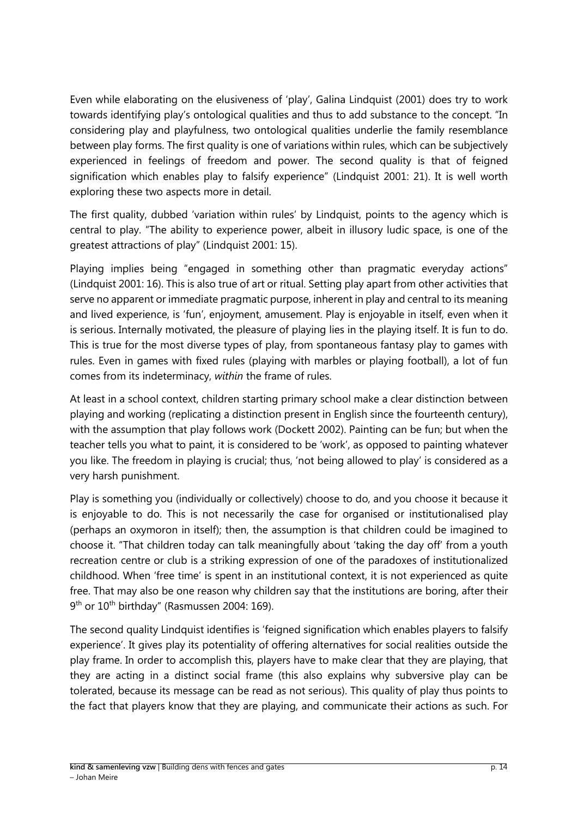Even while elaborating on the elusiveness of 'play', Galina Lindquist (2001) does try to work towards identifying play's ontological qualities and thus to add substance to the concept. "In considering play and playfulness, two ontological qualities underlie the family resemblance between play forms. The first quality is one of variations within rules, which can be subjectively experienced in feelings of freedom and power. The second quality is that of feigned signification which enables play to falsify experience" (Lindquist 2001: 21). It is well worth exploring these two aspects more in detail.

The first quality, dubbed 'variation within rules' by Lindquist, points to the agency which is central to play. "The ability to experience power, albeit in illusory ludic space, is one of the greatest attractions of play" (Lindquist 2001: 15).

Playing implies being "engaged in something other than pragmatic everyday actions" (Lindquist 2001: 16). This is also true of art or ritual. Setting play apart from other activities that serve no apparent or immediate pragmatic purpose, inherent in play and central to its meaning and lived experience, is 'fun', enjoyment, amusement. Play is enjoyable in itself, even when it is serious. Internally motivated, the pleasure of playing lies in the playing itself. It is fun to do. This is true for the most diverse types of play, from spontaneous fantasy play to games with rules. Even in games with fixed rules (playing with marbles or playing football), a lot of fun comes from its indeterminacy, *within* the frame of rules.

At least in a school context, children starting primary school make a clear distinction between playing and working (replicating a distinction present in English since the fourteenth century), with the assumption that play follows work (Dockett 2002). Painting can be fun; but when the teacher tells you what to paint, it is considered to be 'work', as opposed to painting whatever you like. The freedom in playing is crucial; thus, 'not being allowed to play' is considered as a very harsh punishment.

Play is something you (individually or collectively) choose to do, and you choose it because it is enjoyable to do. This is not necessarily the case for organised or institutionalised play (perhaps an oxymoron in itself); then, the assumption is that children could be imagined to choose it. "That children today can talk meaningfully about 'taking the day off' from a youth recreation centre or club is a striking expression of one of the paradoxes of institutionalized childhood. When 'free time' is spent in an institutional context, it is not experienced as quite free. That may also be one reason why children say that the institutions are boring, after their 9<sup>th</sup> or 10<sup>th</sup> birthday" (Rasmussen 2004: 169).

The second quality Lindquist identifies is 'feigned signification which enables players to falsify experience'. It gives play its potentiality of offering alternatives for social realities outside the play frame. In order to accomplish this, players have to make clear that they are playing, that they are acting in a distinct social frame (this also explains why subversive play can be tolerated, because its message can be read as not serious). This quality of play thus points to the fact that players know that they are playing, and communicate their actions as such. For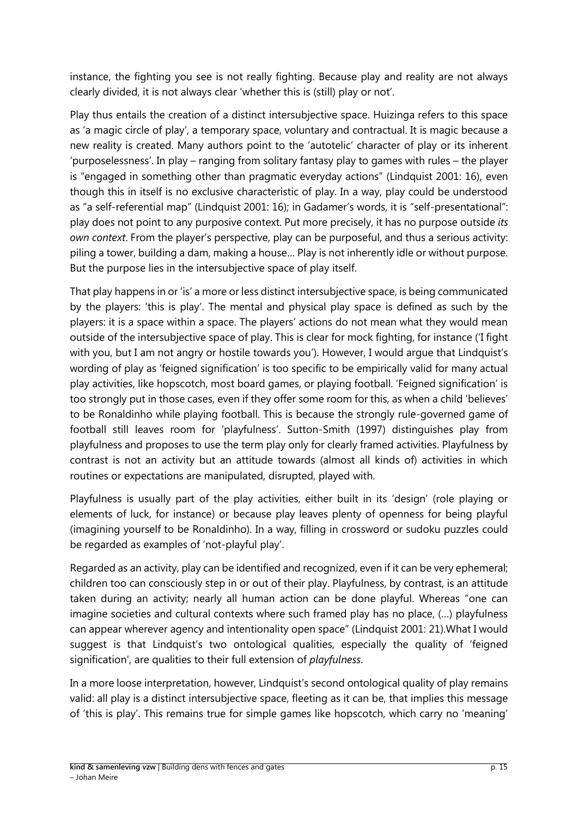instance, the fighting you see is not really fighting. Because play and reality are not always clearly divided, it is not always clear 'whether this is (still) play or not'.

Play thus entails the creation of a distinct intersubjective space. Huizinga refers to this space as 'a magic circle of play', a temporary space, voluntary and contractual. It is magic because a new reality is created. Many authors point to the 'autotelic' character of play or its inherent 'purposelessness'. In play – ranging from solitary fantasy play to games with rules – the player is "engaged in something other than pragmatic everyday actions" (Lindquist 2001: 16), even though this in itself is no exclusive characteristic of play. In a way, play could be understood as "a self-referential map" (Lindquist 2001: 16); in Gadamer's words, it is "self-presentational": play does not point to any purposive context. Put more precisely, it has no purpose outside *its own context*. From the player's perspective, play can be purposeful, and thus a serious activity: piling a tower, building a dam, making a house… Play is not inherently idle or without purpose. But the purpose lies in the intersubjective space of play itself.

That play happens in or 'is' a more or less distinct intersubjective space, is being communicated by the players: 'this is play'. The mental and physical play space is defined as such by the players: it is a space within a space. The players' actions do not mean what they would mean outside of the intersubjective space of play. This is clear for mock fighting, for instance ('I fight with you, but I am not angry or hostile towards you'). However, I would argue that Lindquist's wording of play as 'feigned signification' is too specific to be empirically valid for many actual play activities, like hopscotch, most board games, or playing football. 'Feigned signification' is too strongly put in those cases, even if they offer some room for this, as when a child 'believes' to be Ronaldinho while playing football. This is because the strongly rule-governed game of football still leaves room for 'playfulness'. Sutton-Smith (1997) distinguishes play from playfulness and proposes to use the term play only for clearly framed activities. Playfulness by contrast is not an activity but an attitude towards (almost all kinds of) activities in which routines or expectations are manipulated, disrupted, played with.

Playfulness is usually part of the play activities, either built in its 'design' (role playing or elements of luck, for instance) or because play leaves plenty of openness for being playful (imagining yourself to be Ronaldinho). In a way, filling in crossword or sudoku puzzles could be regarded as examples of 'not-playful play'.

Regarded as an activity, play can be identified and recognized, even if it can be very ephemeral; children too can consciously step in or out of their play. Playfulness, by contrast, is an attitude taken during an activity; nearly all human action can be done playful. Whereas "one can imagine societies and cultural contexts where such framed play has no place, (…) playfulness can appear wherever agency and intentionality open space" (Lindquist 2001: 21).What I would suggest is that Lindquist's two ontological qualities, especially the quality of 'feigned signification', are qualities to their full extension of *playfulness*.

In a more loose interpretation, however, Lindquist's second ontological quality of play remains valid: all play is a distinct intersubjective space, fleeting as it can be, that implies this message of 'this is play'. This remains true for simple games like hopscotch, which carry no 'meaning'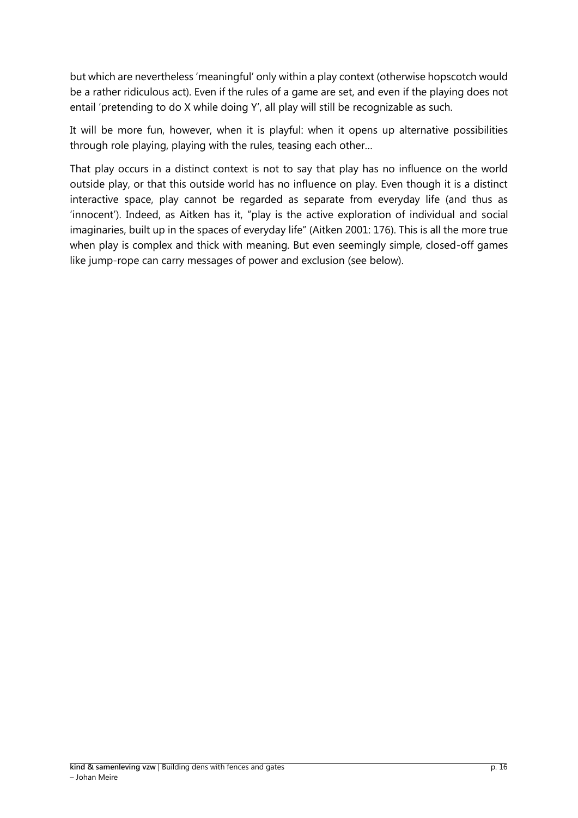but which are nevertheless 'meaningful' only within a play context (otherwise hopscotch would be a rather ridiculous act). Even if the rules of a game are set, and even if the playing does not entail 'pretending to do X while doing Y', all play will still be recognizable as such.

It will be more fun, however, when it is playful: when it opens up alternative possibilities through role playing, playing with the rules, teasing each other…

That play occurs in a distinct context is not to say that play has no influence on the world outside play, or that this outside world has no influence on play. Even though it is a distinct interactive space, play cannot be regarded as separate from everyday life (and thus as 'innocent'). Indeed, as Aitken has it, "play is the active exploration of individual and social imaginaries, built up in the spaces of everyday life" (Aitken 2001: 176). This is all the more true when play is complex and thick with meaning. But even seemingly simple, closed-off games like jump-rope can carry messages of power and exclusion (see below).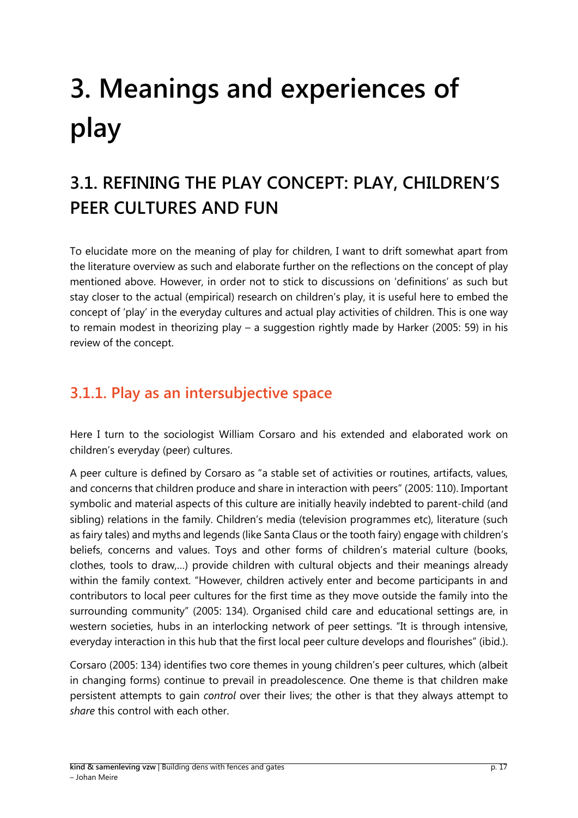# <span id="page-16-0"></span>**3. Meanings and experiences of play**

# <span id="page-16-1"></span>**3.1. REFINING THE PLAY CONCEPT: PLAY, CHILDREN'S PEER CULTURES AND FUN**

To elucidate more on the meaning of play for children, I want to drift somewhat apart from the literature overview as such and elaborate further on the reflections on the concept of play mentioned above. However, in order not to stick to discussions on 'definitions' as such but stay closer to the actual (empirical) research on children's play, it is useful here to embed the concept of 'play' in the everyday cultures and actual play activities of children. This is one way to remain modest in theorizing play – a suggestion rightly made by Harker (2005: 59) in his review of the concept.

### <span id="page-16-2"></span>**3.1.1. Play as an intersubjective space**

Here I turn to the sociologist William Corsaro and his extended and elaborated work on children's everyday (peer) cultures.

A peer culture is defined by Corsaro as "a stable set of activities or routines, artifacts, values, and concerns that children produce and share in interaction with peers" (2005: 110). Important symbolic and material aspects of this culture are initially heavily indebted to parent-child (and sibling) relations in the family. Children's media (television programmes etc), literature (such as fairy tales) and myths and legends (like Santa Claus or the tooth fairy) engage with children's beliefs, concerns and values. Toys and other forms of children's material culture (books, clothes, tools to draw,…) provide children with cultural objects and their meanings already within the family context. "However, children actively enter and become participants in and contributors to local peer cultures for the first time as they move outside the family into the surrounding community" (2005: 134). Organised child care and educational settings are, in western societies, hubs in an interlocking network of peer settings. "It is through intensive, everyday interaction in this hub that the first local peer culture develops and flourishes" (ibid.).

Corsaro (2005: 134) identifies two core themes in young children's peer cultures, which (albeit in changing forms) continue to prevail in preadolescence. One theme is that children make persistent attempts to gain *control* over their lives; the other is that they always attempt to *share* this control with each other.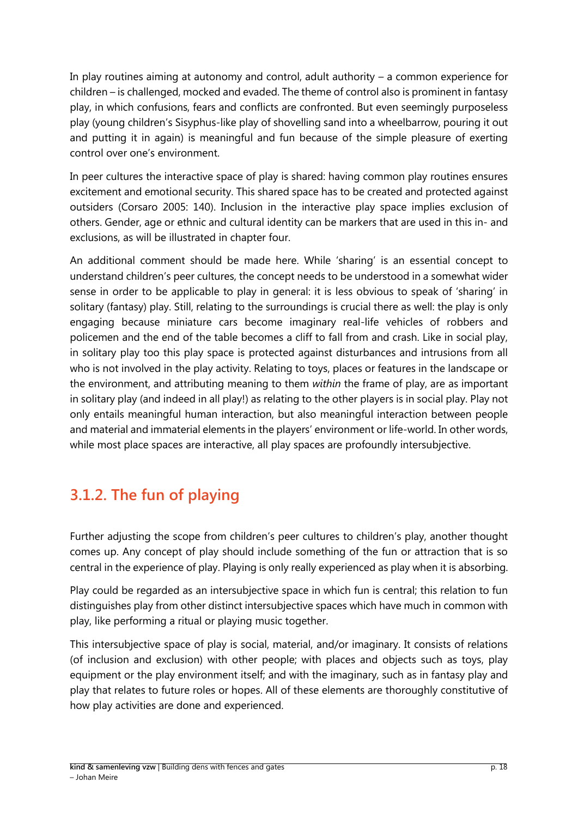In play routines aiming at autonomy and control, adult authority – a common experience for children – is challenged, mocked and evaded. The theme of control also is prominent in fantasy play, in which confusions, fears and conflicts are confronted. But even seemingly purposeless play (young children's Sisyphus-like play of shovelling sand into a wheelbarrow, pouring it out and putting it in again) is meaningful and fun because of the simple pleasure of exerting control over one's environment.

In peer cultures the interactive space of play is shared: having common play routines ensures excitement and emotional security. This shared space has to be created and protected against outsiders (Corsaro 2005: 140). Inclusion in the interactive play space implies exclusion of others. Gender, age or ethnic and cultural identity can be markers that are used in this in- and exclusions, as will be illustrated in chapter four.

An additional comment should be made here. While 'sharing' is an essential concept to understand children's peer cultures, the concept needs to be understood in a somewhat wider sense in order to be applicable to play in general: it is less obvious to speak of 'sharing' in solitary (fantasy) play. Still, relating to the surroundings is crucial there as well: the play is only engaging because miniature cars become imaginary real-life vehicles of robbers and policemen and the end of the table becomes a cliff to fall from and crash. Like in social play, in solitary play too this play space is protected against disturbances and intrusions from all who is not involved in the play activity. Relating to toys, places or features in the landscape or the environment, and attributing meaning to them *within* the frame of play, are as important in solitary play (and indeed in all play!) as relating to the other players is in social play. Play not only entails meaningful human interaction, but also meaningful interaction between people and material and immaterial elements in the players' environment or life-world. In other words, while most place spaces are interactive, all play spaces are profoundly intersubjective.

## <span id="page-17-0"></span>**3.1.2. The fun of playing**

Further adjusting the scope from children's peer cultures to children's play, another thought comes up. Any concept of play should include something of the fun or attraction that is so central in the experience of play. Playing is only really experienced as play when it is absorbing.

Play could be regarded as an intersubjective space in which fun is central; this relation to fun distinguishes play from other distinct intersubjective spaces which have much in common with play, like performing a ritual or playing music together.

This intersubjective space of play is social, material, and/or imaginary. It consists of relations (of inclusion and exclusion) with other people; with places and objects such as toys, play equipment or the play environment itself; and with the imaginary, such as in fantasy play and play that relates to future roles or hopes. All of these elements are thoroughly constitutive of how play activities are done and experienced.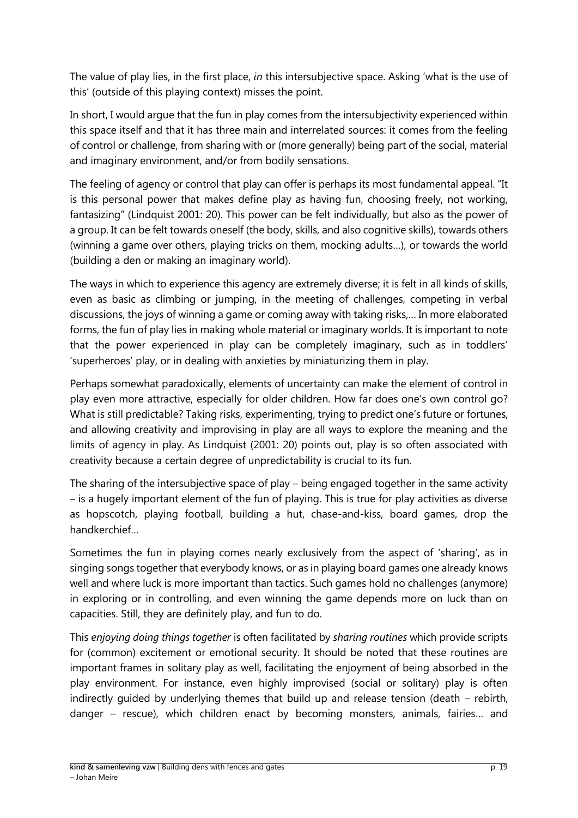The value of play lies, in the first place, *in* this intersubjective space. Asking 'what is the use of this' (outside of this playing context) misses the point.

In short, I would argue that the fun in play comes from the intersubjectivity experienced within this space itself and that it has three main and interrelated sources: it comes from the feeling of control or challenge, from sharing with or (more generally) being part of the social, material and imaginary environment, and/or from bodily sensations.

The feeling of agency or control that play can offer is perhaps its most fundamental appeal. "It is this personal power that makes define play as having fun, choosing freely, not working, fantasizing" (Lindquist 2001: 20). This power can be felt individually, but also as the power of a group. It can be felt towards oneself (the body, skills, and also cognitive skills), towards others (winning a game over others, playing tricks on them, mocking adults…), or towards the world (building a den or making an imaginary world).

The ways in which to experience this agency are extremely diverse; it is felt in all kinds of skills, even as basic as climbing or jumping, in the meeting of challenges, competing in verbal discussions, the joys of winning a game or coming away with taking risks,… In more elaborated forms, the fun of play lies in making whole material or imaginary worlds. It is important to note that the power experienced in play can be completely imaginary, such as in toddlers' 'superheroes' play, or in dealing with anxieties by miniaturizing them in play.

Perhaps somewhat paradoxically, elements of uncertainty can make the element of control in play even more attractive, especially for older children. How far does one's own control go? What is still predictable? Taking risks, experimenting, trying to predict one's future or fortunes, and allowing creativity and improvising in play are all ways to explore the meaning and the limits of agency in play. As Lindquist (2001: 20) points out, play is so often associated with creativity because a certain degree of unpredictability is crucial to its fun.

The sharing of the intersubjective space of play – being engaged together in the same activity – is a hugely important element of the fun of playing. This is true for play activities as diverse as hopscotch, playing football, building a hut, chase-and-kiss, board games, drop the handkerchief…

Sometimes the fun in playing comes nearly exclusively from the aspect of 'sharing', as in singing songs together that everybody knows, or as in playing board games one already knows well and where luck is more important than tactics. Such games hold no challenges (anymore) in exploring or in controlling, and even winning the game depends more on luck than on capacities. Still, they are definitely play, and fun to do.

This *enjoying doing things together* is often facilitated by *sharing routines* which provide scripts for (common) excitement or emotional security. It should be noted that these routines are important frames in solitary play as well, facilitating the enjoyment of being absorbed in the play environment. For instance, even highly improvised (social or solitary) play is often indirectly guided by underlying themes that build up and release tension (death – rebirth, danger – rescue), which children enact by becoming monsters, animals, fairies… and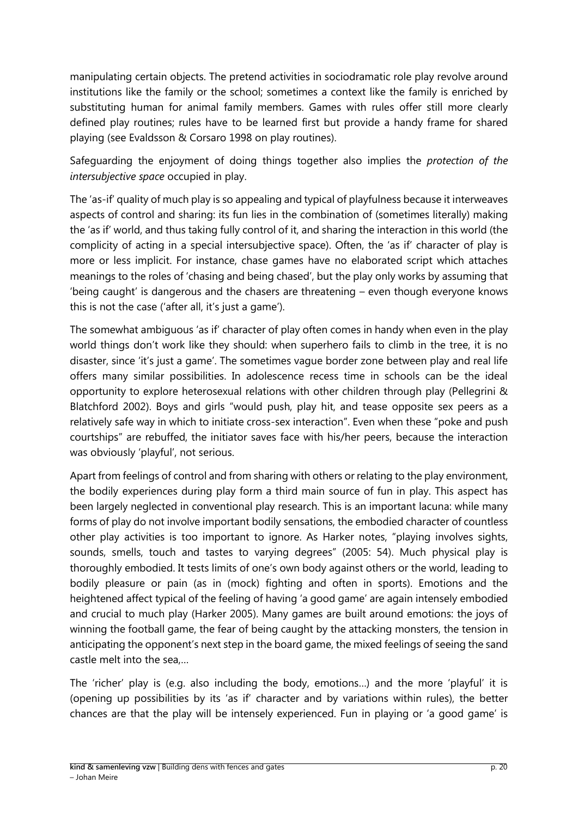manipulating certain objects. The pretend activities in sociodramatic role play revolve around institutions like the family or the school; sometimes a context like the family is enriched by substituting human for animal family members. Games with rules offer still more clearly defined play routines; rules have to be learned first but provide a handy frame for shared playing (see Evaldsson & Corsaro 1998 on play routines).

Safeguarding the enjoyment of doing things together also implies the *protection of the intersubjective space* occupied in play.

The 'as-if' quality of much play is so appealing and typical of playfulness because it interweaves aspects of control and sharing: its fun lies in the combination of (sometimes literally) making the 'as if' world, and thus taking fully control of it, and sharing the interaction in this world (the complicity of acting in a special intersubjective space). Often, the 'as if' character of play is more or less implicit. For instance, chase games have no elaborated script which attaches meanings to the roles of 'chasing and being chased', but the play only works by assuming that 'being caught' is dangerous and the chasers are threatening – even though everyone knows this is not the case ('after all, it's just a game').

The somewhat ambiguous 'as if' character of play often comes in handy when even in the play world things don't work like they should: when superhero fails to climb in the tree, it is no disaster, since 'it's just a game'. The sometimes vague border zone between play and real life offers many similar possibilities. In adolescence recess time in schools can be the ideal opportunity to explore heterosexual relations with other children through play (Pellegrini & Blatchford 2002). Boys and girls "would push, play hit, and tease opposite sex peers as a relatively safe way in which to initiate cross-sex interaction". Even when these "poke and push courtships" are rebuffed, the initiator saves face with his/her peers, because the interaction was obviously 'playful', not serious.

Apart from feelings of control and from sharing with others or relating to the play environment, the bodily experiences during play form a third main source of fun in play. This aspect has been largely neglected in conventional play research. This is an important lacuna: while many forms of play do not involve important bodily sensations, the embodied character of countless other play activities is too important to ignore. As Harker notes, "playing involves sights, sounds, smells, touch and tastes to varying degrees" (2005: 54). Much physical play is thoroughly embodied. It tests limits of one's own body against others or the world, leading to bodily pleasure or pain (as in (mock) fighting and often in sports). Emotions and the heightened affect typical of the feeling of having 'a good game' are again intensely embodied and crucial to much play (Harker 2005). Many games are built around emotions: the joys of winning the football game, the fear of being caught by the attacking monsters, the tension in anticipating the opponent's next step in the board game, the mixed feelings of seeing the sand castle melt into the sea,…

The 'richer' play is (e.g. also including the body, emotions…) and the more 'playful' it is (opening up possibilities by its 'as if' character and by variations within rules), the better chances are that the play will be intensely experienced. Fun in playing or 'a good game' is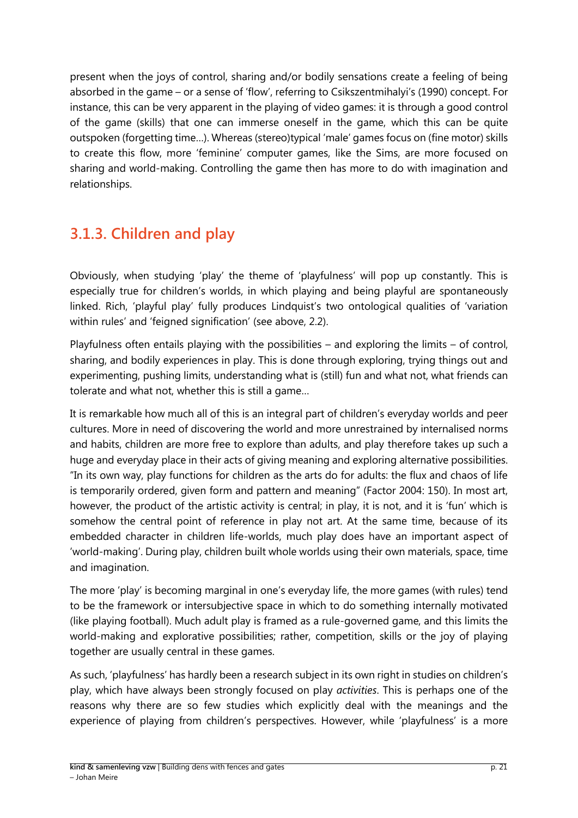present when the joys of control, sharing and/or bodily sensations create a feeling of being absorbed in the game – or a sense of 'flow', referring to Csikszentmihalyi's (1990) concept. For instance, this can be very apparent in the playing of video games: it is through a good control of the game (skills) that one can immerse oneself in the game, which this can be quite outspoken (forgetting time…). Whereas (stereo)typical 'male' games focus on (fine motor) skills to create this flow, more 'feminine' computer games, like the Sims, are more focused on sharing and world-making. Controlling the game then has more to do with imagination and relationships.

## <span id="page-20-0"></span>**3.1.3. Children and play**

Obviously, when studying 'play' the theme of 'playfulness' will pop up constantly. This is especially true for children's worlds, in which playing and being playful are spontaneously linked. Rich, 'playful play' fully produces Lindquist's two ontological qualities of 'variation within rules' and 'feigned signification' (see above, 2.2).

Playfulness often entails playing with the possibilities – and exploring the limits – of control, sharing, and bodily experiences in play. This is done through exploring, trying things out and experimenting, pushing limits, understanding what is (still) fun and what not, what friends can tolerate and what not, whether this is still a game…

It is remarkable how much all of this is an integral part of children's everyday worlds and peer cultures. More in need of discovering the world and more unrestrained by internalised norms and habits, children are more free to explore than adults, and play therefore takes up such a huge and everyday place in their acts of giving meaning and exploring alternative possibilities. "In its own way, play functions for children as the arts do for adults: the flux and chaos of life is temporarily ordered, given form and pattern and meaning" (Factor 2004: 150). In most art, however, the product of the artistic activity is central; in play, it is not, and it is 'fun' which is somehow the central point of reference in play not art. At the same time, because of its embedded character in children life-worlds, much play does have an important aspect of 'world-making'. During play, children built whole worlds using their own materials, space, time and imagination.

The more 'play' is becoming marginal in one's everyday life, the more games (with rules) tend to be the framework or intersubjective space in which to do something internally motivated (like playing football). Much adult play is framed as a rule-governed game, and this limits the world-making and explorative possibilities; rather, competition, skills or the joy of playing together are usually central in these games.

As such, 'playfulness' has hardly been a research subject in its own right in studies on children's play, which have always been strongly focused on play *activities*. This is perhaps one of the reasons why there are so few studies which explicitly deal with the meanings and the experience of playing from children's perspectives. However, while 'playfulness' is a more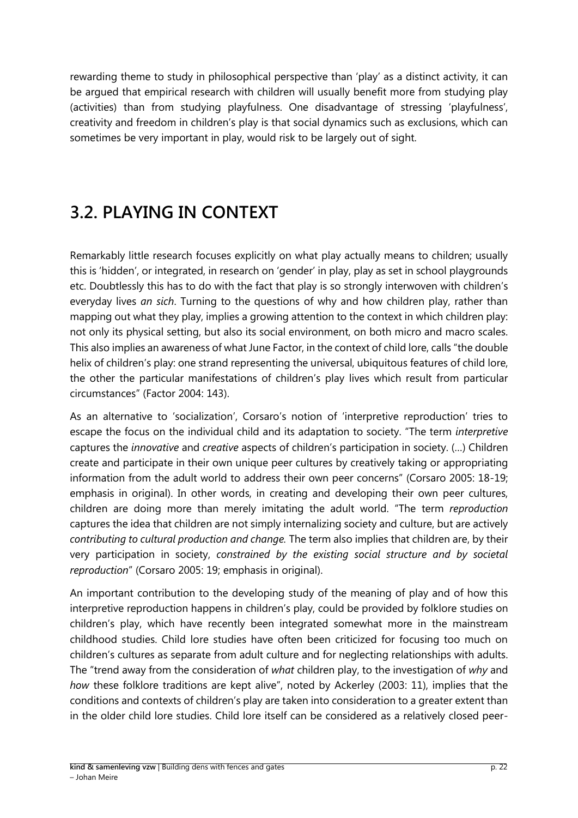rewarding theme to study in philosophical perspective than 'play' as a distinct activity, it can be argued that empirical research with children will usually benefit more from studying play (activities) than from studying playfulness. One disadvantage of stressing 'playfulness', creativity and freedom in children's play is that social dynamics such as exclusions, which can sometimes be very important in play, would risk to be largely out of sight.

## <span id="page-21-0"></span>**3.2. PLAYING IN CONTEXT**

Remarkably little research focuses explicitly on what play actually means to children; usually this is 'hidden', or integrated, in research on 'gender' in play, play as set in school playgrounds etc. Doubtlessly this has to do with the fact that play is so strongly interwoven with children's everyday lives *an sich*. Turning to the questions of why and how children play, rather than mapping out what they play, implies a growing attention to the context in which children play: not only its physical setting, but also its social environment, on both micro and macro scales. This also implies an awareness of what June Factor, in the context of child lore, calls "the double helix of children's play: one strand representing the universal, ubiquitous features of child lore, the other the particular manifestations of children's play lives which result from particular circumstances" (Factor 2004: 143).

As an alternative to 'socialization', Corsaro's notion of 'interpretive reproduction' tries to escape the focus on the individual child and its adaptation to society. "The term *interpretive*  captures the *innovative* and *creative* aspects of children's participation in society. (…) Children create and participate in their own unique peer cultures by creatively taking or appropriating information from the adult world to address their own peer concerns" (Corsaro 2005: 18-19; emphasis in original). In other words, in creating and developing their own peer cultures, children are doing more than merely imitating the adult world. "The term *reproduction*  captures the idea that children are not simply internalizing society and culture, but are actively *contributing to cultural production and change.* The term also implies that children are, by their very participation in society, *constrained by the existing social structure and by societal reproduction*" (Corsaro 2005: 19; emphasis in original).

An important contribution to the developing study of the meaning of play and of how this interpretive reproduction happens in children's play, could be provided by folklore studies on children's play, which have recently been integrated somewhat more in the mainstream childhood studies. Child lore studies have often been criticized for focusing too much on children's cultures as separate from adult culture and for neglecting relationships with adults. The "trend away from the consideration of *what* children play, to the investigation of *why* and *how* these folklore traditions are kept alive", noted by Ackerley (2003: 11), implies that the conditions and contexts of children's play are taken into consideration to a greater extent than in the older child lore studies. Child lore itself can be considered as a relatively closed peer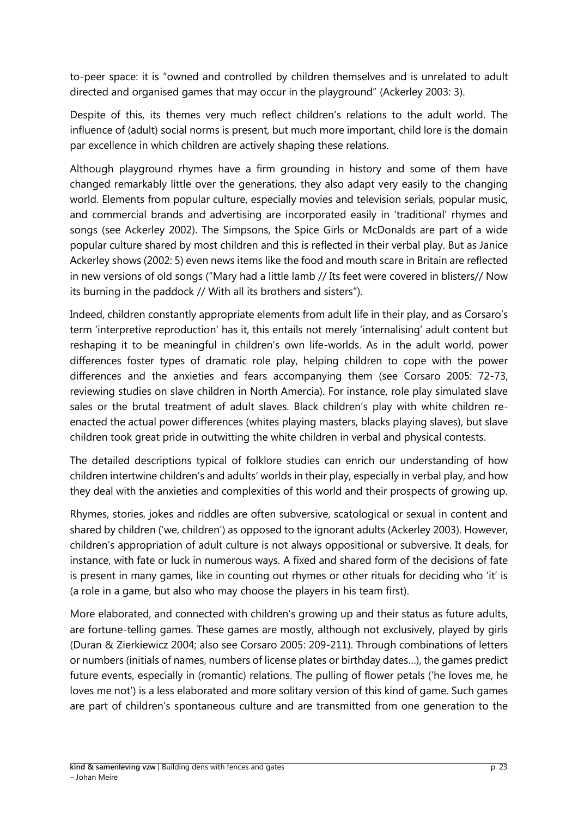to-peer space: it is "owned and controlled by children themselves and is unrelated to adult directed and organised games that may occur in the playground" (Ackerley 2003: 3).

Despite of this, its themes very much reflect children's relations to the adult world. The influence of (adult) social norms is present, but much more important, child lore is the domain par excellence in which children are actively shaping these relations.

Although playground rhymes have a firm grounding in history and some of them have changed remarkably little over the generations, they also adapt very easily to the changing world. Elements from popular culture, especially movies and television serials, popular music, and commercial brands and advertising are incorporated easily in 'traditional' rhymes and songs (see Ackerley 2002). The Simpsons, the Spice Girls or McDonalds are part of a wide popular culture shared by most children and this is reflected in their verbal play. But as Janice Ackerley shows (2002: 5) even news items like the food and mouth scare in Britain are reflected in new versions of old songs ("Mary had a little lamb // Its feet were covered in blisters// Now its burning in the paddock // With all its brothers and sisters").

Indeed, children constantly appropriate elements from adult life in their play, and as Corsaro's term 'interpretive reproduction' has it, this entails not merely 'internalising' adult content but reshaping it to be meaningful in children's own life-worlds. As in the adult world, power differences foster types of dramatic role play, helping children to cope with the power differences and the anxieties and fears accompanying them (see Corsaro 2005: 72-73, reviewing studies on slave children in North Amercia). For instance, role play simulated slave sales or the brutal treatment of adult slaves. Black children's play with white children reenacted the actual power differences (whites playing masters, blacks playing slaves), but slave children took great pride in outwitting the white children in verbal and physical contests.

The detailed descriptions typical of folklore studies can enrich our understanding of how children intertwine children's and adults' worlds in their play, especially in verbal play, and how they deal with the anxieties and complexities of this world and their prospects of growing up.

Rhymes, stories, jokes and riddles are often subversive, scatological or sexual in content and shared by children ('we, children') as opposed to the ignorant adults (Ackerley 2003). However, children's appropriation of adult culture is not always oppositional or subversive. It deals, for instance, with fate or luck in numerous ways. A fixed and shared form of the decisions of fate is present in many games, like in counting out rhymes or other rituals for deciding who 'it' is (a role in a game, but also who may choose the players in his team first).

More elaborated, and connected with children's growing up and their status as future adults, are fortune-telling games. These games are mostly, although not exclusively, played by girls (Duran & Zierkiewicz 2004; also see Corsaro 2005: 209-211). Through combinations of letters or numbers (initials of names, numbers of license plates or birthday dates…), the games predict future events, especially in (romantic) relations. The pulling of flower petals ('he loves me, he loves me not') is a less elaborated and more solitary version of this kind of game. Such games are part of children's spontaneous culture and are transmitted from one generation to the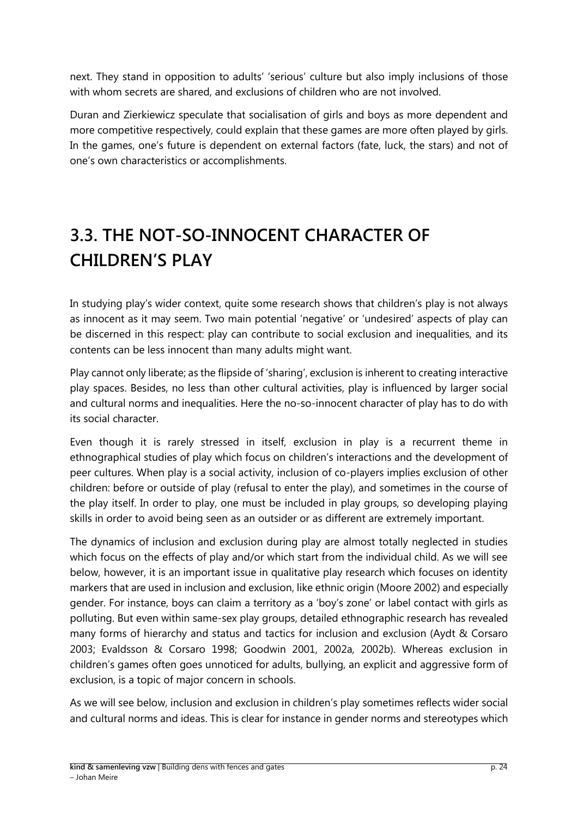next. They stand in opposition to adults' 'serious' culture but also imply inclusions of those with whom secrets are shared, and exclusions of children who are not involved.

Duran and Zierkiewicz speculate that socialisation of girls and boys as more dependent and more competitive respectively, could explain that these games are more often played by girls. In the games, one's future is dependent on external factors (fate, luck, the stars) and not of one's own characteristics or accomplishments.

# <span id="page-23-0"></span>**3.3. THE NOT-SO-INNOCENT CHARACTER OF CHILDREN'S PLAY**

In studying play's wider context, quite some research shows that children's play is not always as innocent as it may seem. Two main potential 'negative' or 'undesired' aspects of play can be discerned in this respect: play can contribute to social exclusion and inequalities, and its contents can be less innocent than many adults might want.

Play cannot only liberate; as the flipside of 'sharing', exclusion is inherent to creating interactive play spaces. Besides, no less than other cultural activities, play is influenced by larger social and cultural norms and inequalities. Here the no-so-innocent character of play has to do with its social character.

Even though it is rarely stressed in itself, exclusion in play is a recurrent theme in ethnographical studies of play which focus on children's interactions and the development of peer cultures. When play is a social activity, inclusion of co-players implies exclusion of other children: before or outside of play (refusal to enter the play), and sometimes in the course of the play itself. In order to play, one must be included in play groups, so developing playing skills in order to avoid being seen as an outsider or as different are extremely important.

The dynamics of inclusion and exclusion during play are almost totally neglected in studies which focus on the effects of play and/or which start from the individual child. As we will see below, however, it is an important issue in qualitative play research which focuses on identity markers that are used in inclusion and exclusion, like ethnic origin (Moore 2002) and especially gender. For instance, boys can claim a territory as a 'boy's zone' or label contact with girls as polluting. But even within same-sex play groups, detailed ethnographic research has revealed many forms of hierarchy and status and tactics for inclusion and exclusion (Aydt & Corsaro 2003; Evaldsson & Corsaro 1998; Goodwin 2001, 2002a, 2002b). Whereas exclusion in children's games often goes unnoticed for adults, bullying, an explicit and aggressive form of exclusion, is a topic of major concern in schools.

As we will see below, inclusion and exclusion in children's play sometimes reflects wider social and cultural norms and ideas. This is clear for instance in gender norms and stereotypes which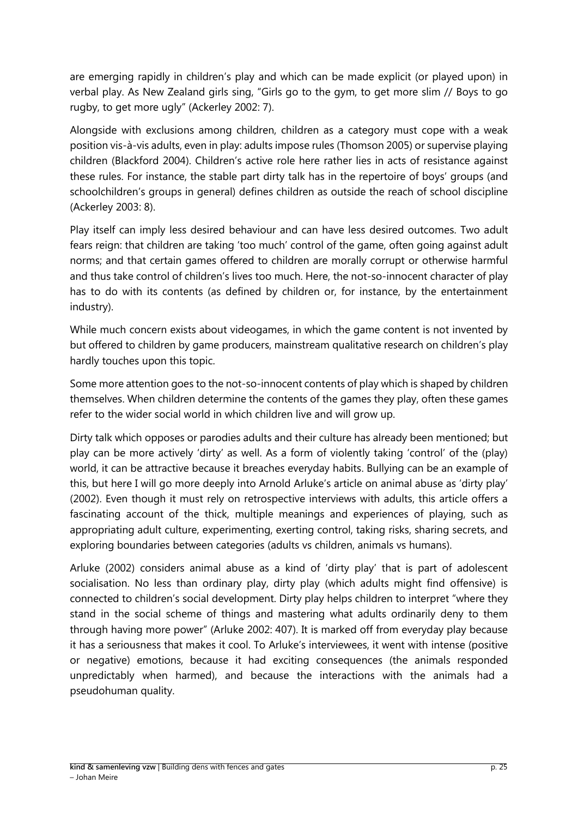are emerging rapidly in children's play and which can be made explicit (or played upon) in verbal play. As New Zealand girls sing, "Girls go to the gym, to get more slim // Boys to go rugby, to get more ugly" (Ackerley 2002: 7).

Alongside with exclusions among children, children as a category must cope with a weak position vis-à-vis adults, even in play: adults impose rules (Thomson 2005) or supervise playing children (Blackford 2004). Children's active role here rather lies in acts of resistance against these rules. For instance, the stable part dirty talk has in the repertoire of boys' groups (and schoolchildren's groups in general) defines children as outside the reach of school discipline (Ackerley 2003: 8).

Play itself can imply less desired behaviour and can have less desired outcomes. Two adult fears reign: that children are taking 'too much' control of the game, often going against adult norms; and that certain games offered to children are morally corrupt or otherwise harmful and thus take control of children's lives too much. Here, the not-so-innocent character of play has to do with its contents (as defined by children or, for instance, by the entertainment industry).

While much concern exists about videogames, in which the game content is not invented by but offered to children by game producers, mainstream qualitative research on children's play hardly touches upon this topic.

Some more attention goes to the not-so-innocent contents of play which is shaped by children themselves. When children determine the contents of the games they play, often these games refer to the wider social world in which children live and will grow up.

Dirty talk which opposes or parodies adults and their culture has already been mentioned; but play can be more actively 'dirty' as well. As a form of violently taking 'control' of the (play) world, it can be attractive because it breaches everyday habits. Bullying can be an example of this, but here I will go more deeply into Arnold Arluke's article on animal abuse as 'dirty play' (2002). Even though it must rely on retrospective interviews with adults, this article offers a fascinating account of the thick, multiple meanings and experiences of playing, such as appropriating adult culture, experimenting, exerting control, taking risks, sharing secrets, and exploring boundaries between categories (adults vs children, animals vs humans).

Arluke (2002) considers animal abuse as a kind of 'dirty play' that is part of adolescent socialisation. No less than ordinary play, dirty play (which adults might find offensive) is connected to children's social development. Dirty play helps children to interpret "where they stand in the social scheme of things and mastering what adults ordinarily deny to them through having more power" (Arluke 2002: 407). It is marked off from everyday play because it has a seriousness that makes it cool. To Arluke's interviewees, it went with intense (positive or negative) emotions, because it had exciting consequences (the animals responded unpredictably when harmed), and because the interactions with the animals had a pseudohuman quality.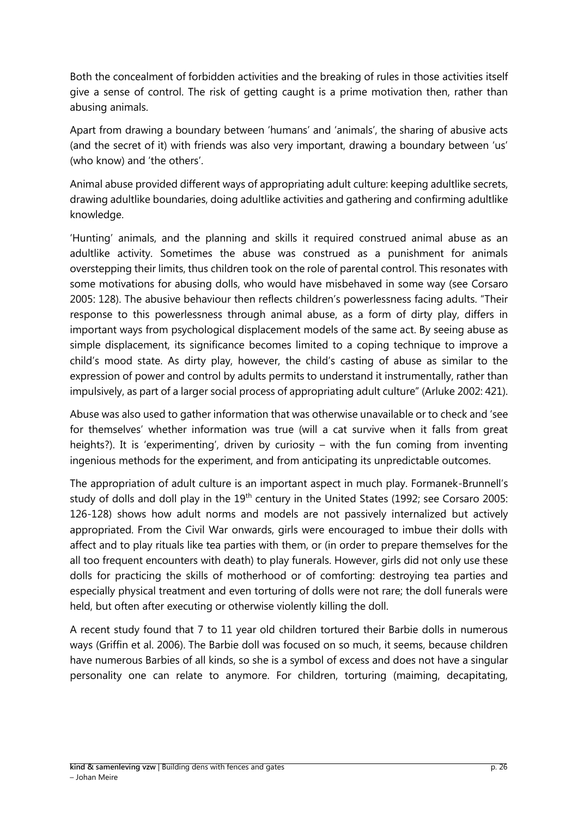Both the concealment of forbidden activities and the breaking of rules in those activities itself give a sense of control. The risk of getting caught is a prime motivation then, rather than abusing animals.

Apart from drawing a boundary between 'humans' and 'animals', the sharing of abusive acts (and the secret of it) with friends was also very important, drawing a boundary between 'us' (who know) and 'the others'.

Animal abuse provided different ways of appropriating adult culture: keeping adultlike secrets, drawing adultlike boundaries, doing adultlike activities and gathering and confirming adultlike knowledge.

'Hunting' animals, and the planning and skills it required construed animal abuse as an adultlike activity. Sometimes the abuse was construed as a punishment for animals overstepping their limits, thus children took on the role of parental control. This resonates with some motivations for abusing dolls, who would have misbehaved in some way (see Corsaro 2005: 128). The abusive behaviour then reflects children's powerlessness facing adults. "Their response to this powerlessness through animal abuse, as a form of dirty play, differs in important ways from psychological displacement models of the same act. By seeing abuse as simple displacement, its significance becomes limited to a coping technique to improve a child's mood state. As dirty play, however, the child's casting of abuse as similar to the expression of power and control by adults permits to understand it instrumentally, rather than impulsively, as part of a larger social process of appropriating adult culture" (Arluke 2002: 421).

Abuse was also used to gather information that was otherwise unavailable or to check and 'see for themselves' whether information was true (will a cat survive when it falls from great heights?). It is 'experimenting', driven by curiosity – with the fun coming from inventing ingenious methods for the experiment, and from anticipating its unpredictable outcomes.

The appropriation of adult culture is an important aspect in much play. Formanek-Brunnell's study of dolls and doll play in the  $19<sup>th</sup>$  century in the United States (1992; see Corsaro 2005: 126-128) shows how adult norms and models are not passively internalized but actively appropriated. From the Civil War onwards, girls were encouraged to imbue their dolls with affect and to play rituals like tea parties with them, or (in order to prepare themselves for the all too frequent encounters with death) to play funerals. However, girls did not only use these dolls for practicing the skills of motherhood or of comforting: destroying tea parties and especially physical treatment and even torturing of dolls were not rare; the doll funerals were held, but often after executing or otherwise violently killing the doll.

A recent study found that 7 to 11 year old children tortured their Barbie dolls in numerous ways (Griffin et al. 2006). The Barbie doll was focused on so much, it seems, because children have numerous Barbies of all kinds, so she is a symbol of excess and does not have a singular personality one can relate to anymore. For children, torturing (maiming, decapitating,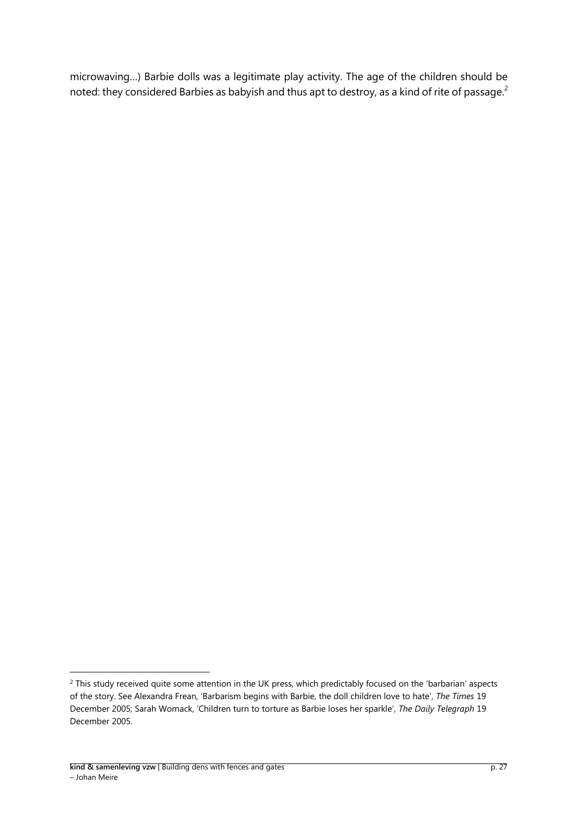microwaving…) Barbie dolls was a legitimate play activity. The age of the children should be noted: they considered Barbies as babyish and thus apt to destroy, as a kind of rite of passage.<sup>2</sup>

-

<sup>&</sup>lt;sup>2</sup> This study received quite some attention in the UK press, which predictably focused on the 'barbarian' aspects of the story. See Alexandra Frean, 'Barbarism begins with Barbie, the doll children love to hate', *The Times* 19 December 2005; Sarah Womack, 'Children turn to torture as Barbie loses her sparkle', *The Daily Telegraph* 19 December 2005.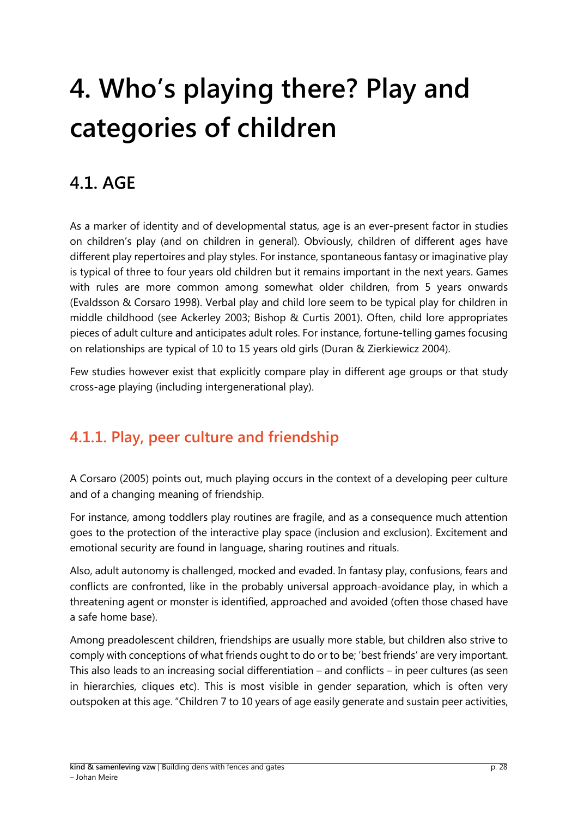# <span id="page-27-0"></span>**4. Who's playing there? Play and categories of children**

## <span id="page-27-1"></span>**4.1. AGE**

As a marker of identity and of developmental status, age is an ever-present factor in studies on children's play (and on children in general). Obviously, children of different ages have different play repertoires and play styles. For instance, spontaneous fantasy or imaginative play is typical of three to four years old children but it remains important in the next years. Games with rules are more common among somewhat older children, from 5 years onwards (Evaldsson & Corsaro 1998). Verbal play and child lore seem to be typical play for children in middle childhood (see Ackerley 2003; Bishop & Curtis 2001). Often, child lore appropriates pieces of adult culture and anticipates adult roles. For instance, fortune-telling games focusing on relationships are typical of 10 to 15 years old girls (Duran & Zierkiewicz 2004).

Few studies however exist that explicitly compare play in different age groups or that study cross-age playing (including intergenerational play).

## <span id="page-27-2"></span>**4.1.1. Play, peer culture and friendship**

A Corsaro (2005) points out, much playing occurs in the context of a developing peer culture and of a changing meaning of friendship.

For instance, among toddlers play routines are fragile, and as a consequence much attention goes to the protection of the interactive play space (inclusion and exclusion). Excitement and emotional security are found in language, sharing routines and rituals.

Also, adult autonomy is challenged, mocked and evaded. In fantasy play, confusions, fears and conflicts are confronted, like in the probably universal approach-avoidance play, in which a threatening agent or monster is identified, approached and avoided (often those chased have a safe home base).

Among preadolescent children, friendships are usually more stable, but children also strive to comply with conceptions of what friends ought to do or to be; 'best friends' are very important. This also leads to an increasing social differentiation – and conflicts – in peer cultures (as seen in hierarchies, cliques etc). This is most visible in gender separation, which is often very outspoken at this age. "Children 7 to 10 years of age easily generate and sustain peer activities,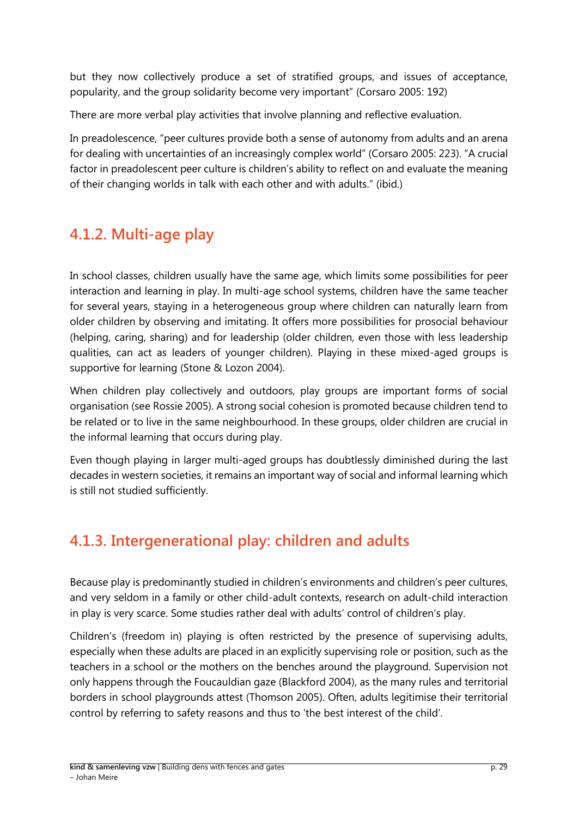but they now collectively produce a set of stratified groups, and issues of acceptance, popularity, and the group solidarity become very important" (Corsaro 2005: 192)

There are more verbal play activities that involve planning and reflective evaluation.

In preadolescence, "peer cultures provide both a sense of autonomy from adults and an arena for dealing with uncertainties of an increasingly complex world" (Corsaro 2005: 223). "A crucial factor in preadolescent peer culture is children's ability to reflect on and evaluate the meaning of their changing worlds in talk with each other and with adults." (ibid.)

## <span id="page-28-0"></span>**4.1.2. Multi-age play**

In school classes, children usually have the same age, which limits some possibilities for peer interaction and learning in play. In multi-age school systems, children have the same teacher for several years, staying in a heterogeneous group where children can naturally learn from older children by observing and imitating. It offers more possibilities for prosocial behaviour (helping, caring, sharing) and for leadership (older children, even those with less leadership qualities, can act as leaders of younger children). Playing in these mixed-aged groups is supportive for learning (Stone & Lozon 2004).

When children play collectively and outdoors, play groups are important forms of social organisation (see Rossie 2005). A strong social cohesion is promoted because children tend to be related or to live in the same neighbourhood. In these groups, older children are crucial in the informal learning that occurs during play.

Even though playing in larger multi-aged groups has doubtlessly diminished during the last decades in western societies, it remains an important way of social and informal learning which is still not studied sufficiently.

### <span id="page-28-1"></span>**4.1.3. Intergenerational play: children and adults**

Because play is predominantly studied in children's environments and children's peer cultures, and very seldom in a family or other child-adult contexts, research on adult-child interaction in play is very scarce. Some studies rather deal with adults' control of children's play.

Children's (freedom in) playing is often restricted by the presence of supervising adults, especially when these adults are placed in an explicitly supervising role or position, such as the teachers in a school or the mothers on the benches around the playground. Supervision not only happens through the Foucauldian gaze (Blackford 2004), as the many rules and territorial borders in school playgrounds attest (Thomson 2005). Often, adults legitimise their territorial control by referring to safety reasons and thus to 'the best interest of the child'.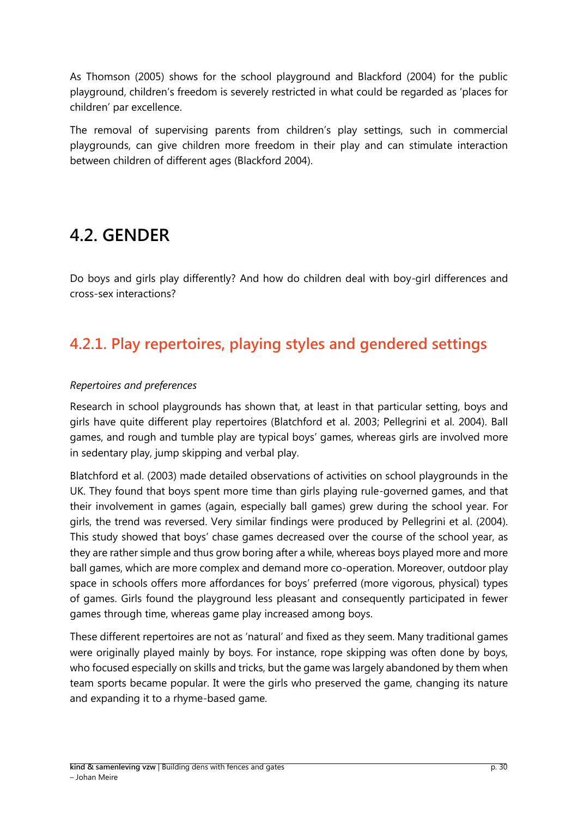As Thomson (2005) shows for the school playground and Blackford (2004) for the public playground, children's freedom is severely restricted in what could be regarded as 'places for children' par excellence.

The removal of supervising parents from children's play settings, such in commercial playgrounds, can give children more freedom in their play and can stimulate interaction between children of different ages (Blackford 2004).

## <span id="page-29-0"></span>**4.2. GENDER**

Do boys and girls play differently? And how do children deal with boy-girl differences and cross-sex interactions?

## <span id="page-29-1"></span>**4.2.1. Play repertoires, playing styles and gendered settings**

#### *Repertoires and preferences*

Research in school playgrounds has shown that, at least in that particular setting, boys and girls have quite different play repertoires (Blatchford et al. 2003; Pellegrini et al. 2004). Ball games, and rough and tumble play are typical boys' games, whereas girls are involved more in sedentary play, jump skipping and verbal play.

Blatchford et al. (2003) made detailed observations of activities on school playgrounds in the UK. They found that boys spent more time than girls playing rule-governed games, and that their involvement in games (again, especially ball games) grew during the school year. For girls, the trend was reversed. Very similar findings were produced by Pellegrini et al. (2004). This study showed that boys' chase games decreased over the course of the school year, as they are rather simple and thus grow boring after a while, whereas boys played more and more ball games, which are more complex and demand more co-operation. Moreover, outdoor play space in schools offers more affordances for boys' preferred (more vigorous, physical) types of games. Girls found the playground less pleasant and consequently participated in fewer games through time, whereas game play increased among boys.

These different repertoires are not as 'natural' and fixed as they seem. Many traditional games were originally played mainly by boys. For instance, rope skipping was often done by boys, who focused especially on skills and tricks, but the game was largely abandoned by them when team sports became popular. It were the girls who preserved the game, changing its nature and expanding it to a rhyme-based game.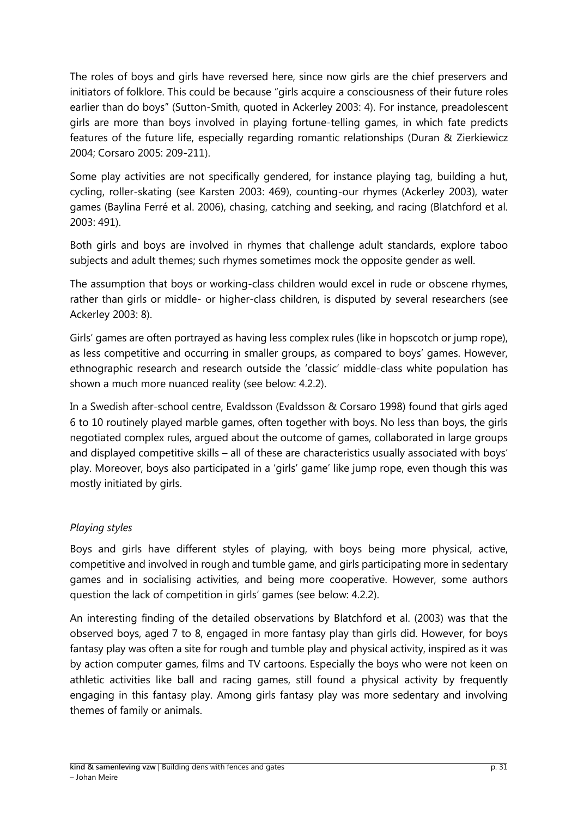The roles of boys and girls have reversed here, since now girls are the chief preservers and initiators of folklore. This could be because "girls acquire a consciousness of their future roles earlier than do boys" (Sutton-Smith, quoted in Ackerley 2003: 4). For instance, preadolescent girls are more than boys involved in playing fortune-telling games, in which fate predicts features of the future life, especially regarding romantic relationships (Duran & Zierkiewicz 2004; Corsaro 2005: 209-211).

Some play activities are not specifically gendered, for instance playing tag, building a hut, cycling, roller-skating (see Karsten 2003: 469), counting-our rhymes (Ackerley 2003), water games (Baylina Ferré et al. 2006), chasing, catching and seeking, and racing (Blatchford et al. 2003: 491).

Both girls and boys are involved in rhymes that challenge adult standards, explore taboo subjects and adult themes; such rhymes sometimes mock the opposite gender as well.

The assumption that boys or working-class children would excel in rude or obscene rhymes, rather than girls or middle- or higher-class children, is disputed by several researchers (see Ackerley 2003: 8).

Girls' games are often portrayed as having less complex rules (like in hopscotch or jump rope), as less competitive and occurring in smaller groups, as compared to boys' games. However, ethnographic research and research outside the 'classic' middle-class white population has shown a much more nuanced reality (see below: 4.2.2).

In a Swedish after-school centre, Evaldsson (Evaldsson & Corsaro 1998) found that girls aged 6 to 10 routinely played marble games, often together with boys. No less than boys, the girls negotiated complex rules, argued about the outcome of games, collaborated in large groups and displayed competitive skills – all of these are characteristics usually associated with boys' play. Moreover, boys also participated in a 'girls' game' like jump rope, even though this was mostly initiated by girls.

#### *Playing styles*

Boys and girls have different styles of playing, with boys being more physical, active, competitive and involved in rough and tumble game, and girls participating more in sedentary games and in socialising activities, and being more cooperative. However, some authors question the lack of competition in girls' games (see below: 4.2.2).

An interesting finding of the detailed observations by Blatchford et al. (2003) was that the observed boys, aged 7 to 8, engaged in more fantasy play than girls did. However, for boys fantasy play was often a site for rough and tumble play and physical activity, inspired as it was by action computer games, films and TV cartoons. Especially the boys who were not keen on athletic activities like ball and racing games, still found a physical activity by frequently engaging in this fantasy play. Among girls fantasy play was more sedentary and involving themes of family or animals.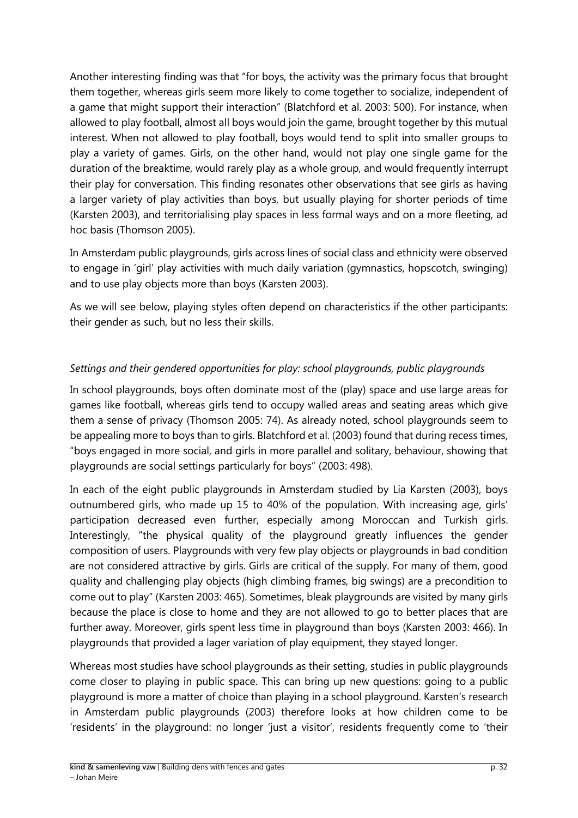Another interesting finding was that "for boys, the activity was the primary focus that brought them together, whereas girls seem more likely to come together to socialize, independent of a game that might support their interaction" (Blatchford et al. 2003: 500). For instance, when allowed to play football, almost all boys would join the game, brought together by this mutual interest. When not allowed to play football, boys would tend to split into smaller groups to play a variety of games. Girls, on the other hand, would not play one single game for the duration of the breaktime, would rarely play as a whole group, and would frequently interrupt their play for conversation. This finding resonates other observations that see girls as having a larger variety of play activities than boys, but usually playing for shorter periods of time (Karsten 2003), and territorialising play spaces in less formal ways and on a more fleeting, ad hoc basis (Thomson 2005).

In Amsterdam public playgrounds, girls across lines of social class and ethnicity were observed to engage in 'girl' play activities with much daily variation (gymnastics, hopscotch, swinging) and to use play objects more than boys (Karsten 2003).

As we will see below, playing styles often depend on characteristics if the other participants: their gender as such, but no less their skills.

#### *Settings and their gendered opportunities for play: school playgrounds, public playgrounds*

In school playgrounds, boys often dominate most of the (play) space and use large areas for games like football, whereas girls tend to occupy walled areas and seating areas which give them a sense of privacy (Thomson 2005: 74). As already noted, school playgrounds seem to be appealing more to boys than to girls. Blatchford et al. (2003) found that during recess times, "boys engaged in more social, and girls in more parallel and solitary, behaviour, showing that playgrounds are social settings particularly for boys" (2003: 498).

In each of the eight public playgrounds in Amsterdam studied by Lia Karsten (2003), boys outnumbered girls, who made up 15 to 40% of the population. With increasing age, girls' participation decreased even further, especially among Moroccan and Turkish girls. Interestingly, "the physical quality of the playground greatly influences the gender composition of users. Playgrounds with very few play objects or playgrounds in bad condition are not considered attractive by girls. Girls are critical of the supply. For many of them, good quality and challenging play objects (high climbing frames, big swings) are a precondition to come out to play" (Karsten 2003: 465). Sometimes, bleak playgrounds are visited by many girls because the place is close to home and they are not allowed to go to better places that are further away. Moreover, girls spent less time in playground than boys (Karsten 2003: 466). In playgrounds that provided a lager variation of play equipment, they stayed longer.

Whereas most studies have school playgrounds as their setting, studies in public playgrounds come closer to playing in public space. This can bring up new questions: going to a public playground is more a matter of choice than playing in a school playground. Karsten's research in Amsterdam public playgrounds (2003) therefore looks at how children come to be 'residents' in the playground: no longer 'just a visitor', residents frequently come to 'their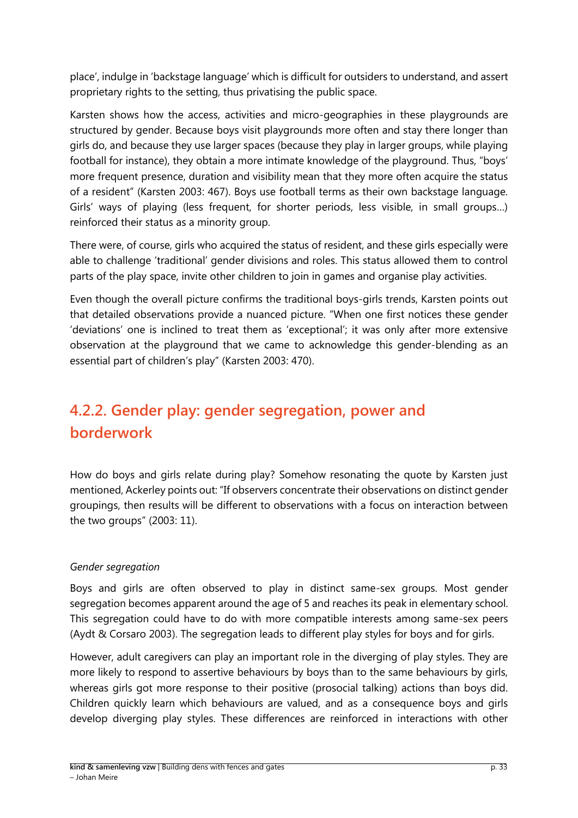place', indulge in 'backstage language' which is difficult for outsiders to understand, and assert proprietary rights to the setting, thus privatising the public space.

Karsten shows how the access, activities and micro-geographies in these playgrounds are structured by gender. Because boys visit playgrounds more often and stay there longer than girls do, and because they use larger spaces (because they play in larger groups, while playing football for instance), they obtain a more intimate knowledge of the playground. Thus, "boys' more frequent presence, duration and visibility mean that they more often acquire the status of a resident" (Karsten 2003: 467). Boys use football terms as their own backstage language. Girls' ways of playing (less frequent, for shorter periods, less visible, in small groups…) reinforced their status as a minority group.

There were, of course, girls who acquired the status of resident, and these girls especially were able to challenge 'traditional' gender divisions and roles. This status allowed them to control parts of the play space, invite other children to join in games and organise play activities.

Even though the overall picture confirms the traditional boys-girls trends, Karsten points out that detailed observations provide a nuanced picture. "When one first notices these gender 'deviations' one is inclined to treat them as 'exceptional'; it was only after more extensive observation at the playground that we came to acknowledge this gender-blending as an essential part of children's play" (Karsten 2003: 470).

## <span id="page-32-0"></span>**4.2.2. Gender play: gender segregation, power and borderwork**

How do boys and girls relate during play? Somehow resonating the quote by Karsten just mentioned, Ackerley points out: "If observers concentrate their observations on distinct gender groupings, then results will be different to observations with a focus on interaction between the two groups" (2003: 11).

#### *Gender segregation*

Boys and girls are often observed to play in distinct same-sex groups. Most gender segregation becomes apparent around the age of 5 and reaches its peak in elementary school. This segregation could have to do with more compatible interests among same-sex peers (Aydt & Corsaro 2003). The segregation leads to different play styles for boys and for girls.

However, adult caregivers can play an important role in the diverging of play styles. They are more likely to respond to assertive behaviours by boys than to the same behaviours by girls, whereas girls got more response to their positive (prosocial talking) actions than boys did. Children quickly learn which behaviours are valued, and as a consequence boys and girls develop diverging play styles. These differences are reinforced in interactions with other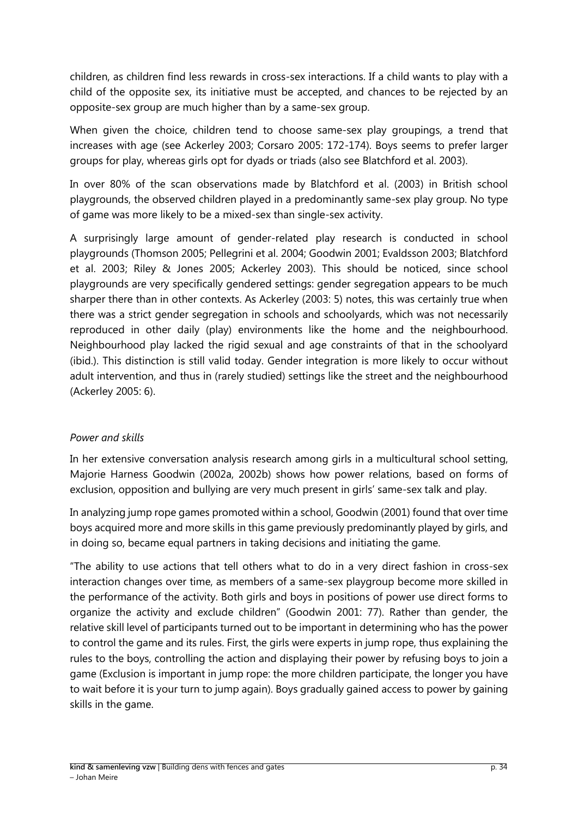children, as children find less rewards in cross-sex interactions. If a child wants to play with a child of the opposite sex, its initiative must be accepted, and chances to be rejected by an opposite-sex group are much higher than by a same-sex group.

When given the choice, children tend to choose same-sex play groupings, a trend that increases with age (see Ackerley 2003; Corsaro 2005: 172-174). Boys seems to prefer larger groups for play, whereas girls opt for dyads or triads (also see Blatchford et al. 2003).

In over 80% of the scan observations made by Blatchford et al. (2003) in British school playgrounds, the observed children played in a predominantly same-sex play group. No type of game was more likely to be a mixed-sex than single-sex activity.

A surprisingly large amount of gender-related play research is conducted in school playgrounds (Thomson 2005; Pellegrini et al. 2004; Goodwin 2001; Evaldsson 2003; Blatchford et al. 2003; Riley & Jones 2005; Ackerley 2003). This should be noticed, since school playgrounds are very specifically gendered settings: gender segregation appears to be much sharper there than in other contexts. As Ackerley (2003: 5) notes, this was certainly true when there was a strict gender segregation in schools and schoolyards, which was not necessarily reproduced in other daily (play) environments like the home and the neighbourhood. Neighbourhood play lacked the rigid sexual and age constraints of that in the schoolyard (ibid.). This distinction is still valid today. Gender integration is more likely to occur without adult intervention, and thus in (rarely studied) settings like the street and the neighbourhood (Ackerley 2005: 6).

#### *Power and skills*

In her extensive conversation analysis research among girls in a multicultural school setting, Majorie Harness Goodwin (2002a, 2002b) shows how power relations, based on forms of exclusion, opposition and bullying are very much present in girls' same-sex talk and play.

In analyzing jump rope games promoted within a school, Goodwin (2001) found that over time boys acquired more and more skills in this game previously predominantly played by girls, and in doing so, became equal partners in taking decisions and initiating the game.

"The ability to use actions that tell others what to do in a very direct fashion in cross-sex interaction changes over time, as members of a same-sex playgroup become more skilled in the performance of the activity. Both girls and boys in positions of power use direct forms to organize the activity and exclude children" (Goodwin 2001: 77). Rather than gender, the relative skill level of participants turned out to be important in determining who has the power to control the game and its rules. First, the girls were experts in jump rope, thus explaining the rules to the boys, controlling the action and displaying their power by refusing boys to join a game (Exclusion is important in jump rope: the more children participate, the longer you have to wait before it is your turn to jump again). Boys gradually gained access to power by gaining skills in the game.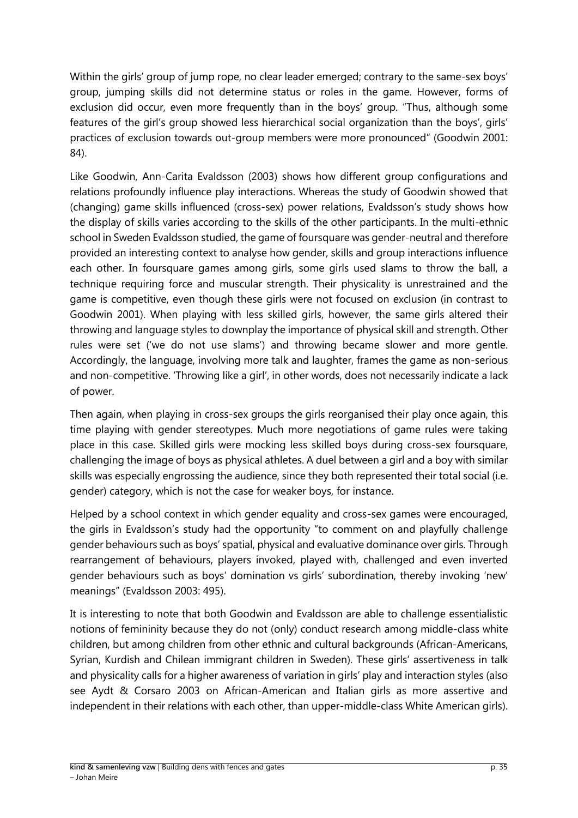Within the girls' group of jump rope, no clear leader emerged; contrary to the same-sex boys' group, jumping skills did not determine status or roles in the game. However, forms of exclusion did occur, even more frequently than in the boys' group. "Thus, although some features of the girl's group showed less hierarchical social organization than the boys', girls' practices of exclusion towards out-group members were more pronounced" (Goodwin 2001: 84).

Like Goodwin, Ann-Carita Evaldsson (2003) shows how different group configurations and relations profoundly influence play interactions. Whereas the study of Goodwin showed that (changing) game skills influenced (cross-sex) power relations, Evaldsson's study shows how the display of skills varies according to the skills of the other participants. In the multi-ethnic school in Sweden Evaldsson studied, the game of foursquare was gender-neutral and therefore provided an interesting context to analyse how gender, skills and group interactions influence each other. In foursquare games among girls, some girls used slams to throw the ball, a technique requiring force and muscular strength. Their physicality is unrestrained and the game is competitive, even though these girls were not focused on exclusion (in contrast to Goodwin 2001). When playing with less skilled girls, however, the same girls altered their throwing and language styles to downplay the importance of physical skill and strength. Other rules were set ('we do not use slams') and throwing became slower and more gentle. Accordingly, the language, involving more talk and laughter, frames the game as non-serious and non-competitive. 'Throwing like a girl', in other words, does not necessarily indicate a lack of power.

Then again, when playing in cross-sex groups the girls reorganised their play once again, this time playing with gender stereotypes. Much more negotiations of game rules were taking place in this case. Skilled girls were mocking less skilled boys during cross-sex foursquare, challenging the image of boys as physical athletes. A duel between a girl and a boy with similar skills was especially engrossing the audience, since they both represented their total social (i.e. gender) category, which is not the case for weaker boys, for instance.

Helped by a school context in which gender equality and cross-sex games were encouraged, the girls in Evaldsson's study had the opportunity "to comment on and playfully challenge gender behaviours such as boys' spatial, physical and evaluative dominance over girls. Through rearrangement of behaviours, players invoked, played with, challenged and even inverted gender behaviours such as boys' domination vs girls' subordination, thereby invoking 'new' meanings" (Evaldsson 2003: 495).

It is interesting to note that both Goodwin and Evaldsson are able to challenge essentialistic notions of femininity because they do not (only) conduct research among middle-class white children, but among children from other ethnic and cultural backgrounds (African-Americans, Syrian, Kurdish and Chilean immigrant children in Sweden). These girls' assertiveness in talk and physicality calls for a higher awareness of variation in girls' play and interaction styles (also see Aydt & Corsaro 2003 on African-American and Italian girls as more assertive and independent in their relations with each other, than upper-middle-class White American girls).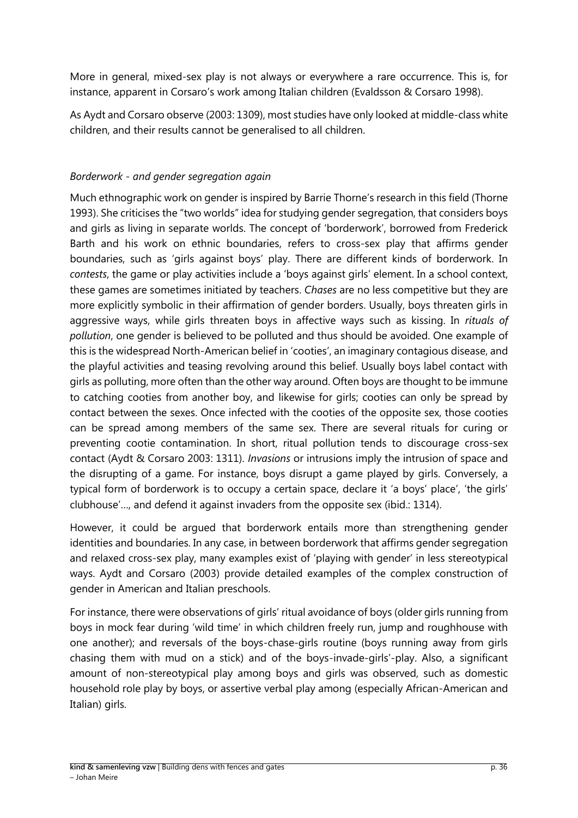More in general, mixed-sex play is not always or everywhere a rare occurrence. This is, for instance, apparent in Corsaro's work among Italian children (Evaldsson & Corsaro 1998).

As Aydt and Corsaro observe (2003: 1309), most studies have only looked at middle-class white children, and their results cannot be generalised to all children.

#### *Borderwork - and gender segregation again*

Much ethnographic work on gender is inspired by Barrie Thorne's research in this field (Thorne 1993). She criticises the "two worlds" idea for studying gender segregation, that considers boys and girls as living in separate worlds. The concept of 'borderwork', borrowed from Frederick Barth and his work on ethnic boundaries, refers to cross-sex play that affirms gender boundaries, such as 'girls against boys' play. There are different kinds of borderwork. In *contests*, the game or play activities include a 'boys against girls' element. In a school context, these games are sometimes initiated by teachers. *Chases* are no less competitive but they are more explicitly symbolic in their affirmation of gender borders. Usually, boys threaten girls in aggressive ways, while girls threaten boys in affective ways such as kissing. In *rituals of pollution*, one gender is believed to be polluted and thus should be avoided. One example of this is the widespread North-American belief in 'cooties', an imaginary contagious disease, and the playful activities and teasing revolving around this belief. Usually boys label contact with girls as polluting, more often than the other way around. Often boys are thought to be immune to catching cooties from another boy, and likewise for girls; cooties can only be spread by contact between the sexes. Once infected with the cooties of the opposite sex, those cooties can be spread among members of the same sex. There are several rituals for curing or preventing cootie contamination. In short, ritual pollution tends to discourage cross-sex contact (Aydt & Corsaro 2003: 1311). *Invasions* or intrusions imply the intrusion of space and the disrupting of a game. For instance, boys disrupt a game played by girls. Conversely, a typical form of borderwork is to occupy a certain space, declare it 'a boys' place', 'the girls' clubhouse'…, and defend it against invaders from the opposite sex (ibid.: 1314).

However, it could be argued that borderwork entails more than strengthening gender identities and boundaries. In any case, in between borderwork that affirms gender segregation and relaxed cross-sex play, many examples exist of 'playing with gender' in less stereotypical ways. Aydt and Corsaro (2003) provide detailed examples of the complex construction of gender in American and Italian preschools.

For instance, there were observations of girls' ritual avoidance of boys (older girls running from boys in mock fear during 'wild time' in which children freely run, jump and roughhouse with one another); and reversals of the boys-chase-girls routine (boys running away from girls chasing them with mud on a stick) and of the boys-invade-girls'-play. Also, a significant amount of non-stereotypical play among boys and girls was observed, such as domestic household role play by boys, or assertive verbal play among (especially African-American and Italian) girls.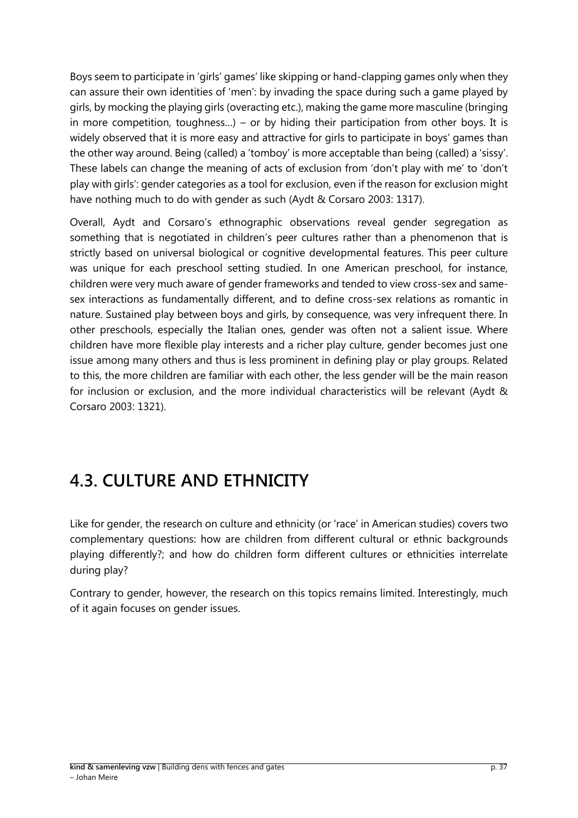Boys seem to participate in 'girls' games' like skipping or hand-clapping games only when they can assure their own identities of 'men': by invading the space during such a game played by girls, by mocking the playing girls (overacting etc.), making the game more masculine (bringing in more competition, toughness...) – or by hiding their participation from other boys. It is widely observed that it is more easy and attractive for girls to participate in boys' games than the other way around. Being (called) a 'tomboy' is more acceptable than being (called) a 'sissy'. These labels can change the meaning of acts of exclusion from 'don't play with me' to 'don't play with girls': gender categories as a tool for exclusion, even if the reason for exclusion might have nothing much to do with gender as such (Aydt & Corsaro 2003: 1317).

Overall, Aydt and Corsaro's ethnographic observations reveal gender segregation as something that is negotiated in children's peer cultures rather than a phenomenon that is strictly based on universal biological or cognitive developmental features. This peer culture was unique for each preschool setting studied. In one American preschool, for instance, children were very much aware of gender frameworks and tended to view cross-sex and samesex interactions as fundamentally different, and to define cross-sex relations as romantic in nature. Sustained play between boys and girls, by consequence, was very infrequent there. In other preschools, especially the Italian ones, gender was often not a salient issue. Where children have more flexible play interests and a richer play culture, gender becomes just one issue among many others and thus is less prominent in defining play or play groups. Related to this, the more children are familiar with each other, the less gender will be the main reason for inclusion or exclusion, and the more individual characteristics will be relevant (Aydt & Corsaro 2003: 1321).

# <span id="page-36-0"></span>**4.3. CULTURE AND ETHNICITY**

Like for gender, the research on culture and ethnicity (or 'race' in American studies) covers two complementary questions: how are children from different cultural or ethnic backgrounds playing differently?; and how do children form different cultures or ethnicities interrelate during play?

Contrary to gender, however, the research on this topics remains limited. Interestingly, much of it again focuses on gender issues.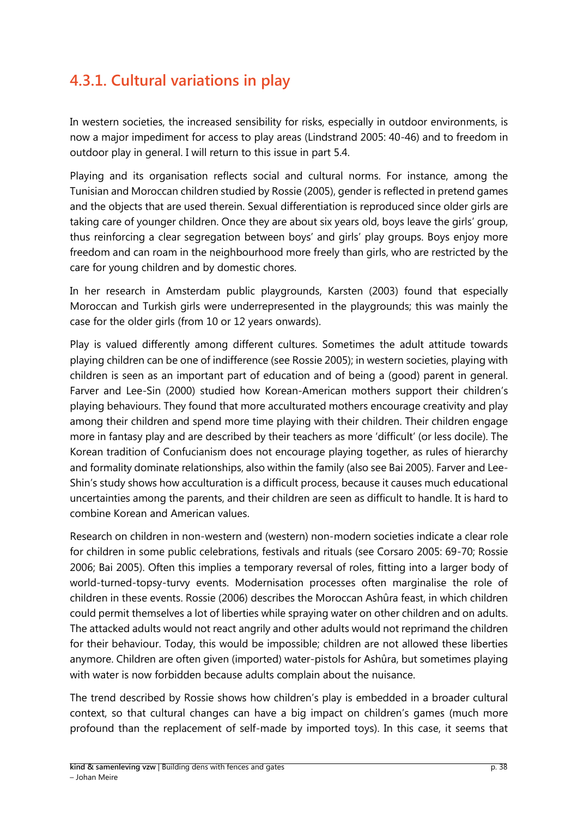## <span id="page-37-0"></span>**4.3.1. Cultural variations in play**

In western societies, the increased sensibility for risks, especially in outdoor environments, is now a major impediment for access to play areas (Lindstrand 2005: 40-46) and to freedom in outdoor play in general. I will return to this issue in part 5.4.

Playing and its organisation reflects social and cultural norms. For instance, among the Tunisian and Moroccan children studied by Rossie (2005), gender is reflected in pretend games and the objects that are used therein. Sexual differentiation is reproduced since older girls are taking care of younger children. Once they are about six years old, boys leave the girls' group, thus reinforcing a clear segregation between boys' and girls' play groups. Boys enjoy more freedom and can roam in the neighbourhood more freely than girls, who are restricted by the care for young children and by domestic chores.

In her research in Amsterdam public playgrounds, Karsten (2003) found that especially Moroccan and Turkish girls were underrepresented in the playgrounds; this was mainly the case for the older girls (from 10 or 12 years onwards).

Play is valued differently among different cultures. Sometimes the adult attitude towards playing children can be one of indifference (see Rossie 2005); in western societies, playing with children is seen as an important part of education and of being a (good) parent in general. Farver and Lee-Sin (2000) studied how Korean-American mothers support their children's playing behaviours. They found that more acculturated mothers encourage creativity and play among their children and spend more time playing with their children. Their children engage more in fantasy play and are described by their teachers as more 'difficult' (or less docile). The Korean tradition of Confucianism does not encourage playing together, as rules of hierarchy and formality dominate relationships, also within the family (also see Bai 2005). Farver and Lee-Shin's study shows how acculturation is a difficult process, because it causes much educational uncertainties among the parents, and their children are seen as difficult to handle. It is hard to combine Korean and American values.

Research on children in non-western and (western) non-modern societies indicate a clear role for children in some public celebrations, festivals and rituals (see Corsaro 2005: 69-70; Rossie 2006; Bai 2005). Often this implies a temporary reversal of roles, fitting into a larger body of world-turned-topsy-turvy events. Modernisation processes often marginalise the role of children in these events. Rossie (2006) describes the Moroccan Ashûra feast, in which children could permit themselves a lot of liberties while spraying water on other children and on adults. The attacked adults would not react angrily and other adults would not reprimand the children for their behaviour. Today, this would be impossible; children are not allowed these liberties anymore. Children are often given (imported) water-pistols for Ashûra, but sometimes playing with water is now forbidden because adults complain about the nuisance.

The trend described by Rossie shows how children's play is embedded in a broader cultural context, so that cultural changes can have a big impact on children's games (much more profound than the replacement of self-made by imported toys). In this case, it seems that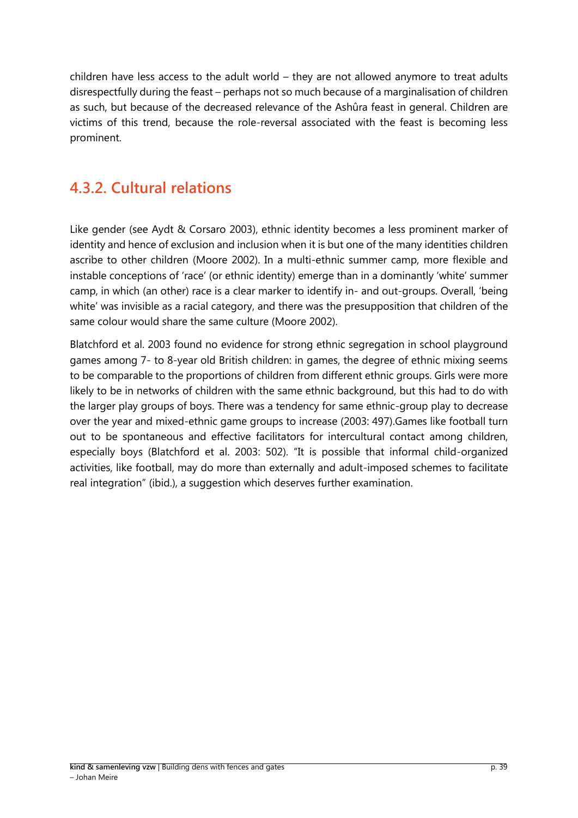children have less access to the adult world – they are not allowed anymore to treat adults disrespectfully during the feast – perhaps not so much because of a marginalisation of children as such, but because of the decreased relevance of the Ashûra feast in general. Children are victims of this trend, because the role-reversal associated with the feast is becoming less prominent.

### <span id="page-38-0"></span>**4.3.2. Cultural relations**

Like gender (see Aydt & Corsaro 2003), ethnic identity becomes a less prominent marker of identity and hence of exclusion and inclusion when it is but one of the many identities children ascribe to other children (Moore 2002). In a multi-ethnic summer camp, more flexible and instable conceptions of 'race' (or ethnic identity) emerge than in a dominantly 'white' summer camp, in which (an other) race is a clear marker to identify in- and out-groups. Overall, 'being white' was invisible as a racial category, and there was the presupposition that children of the same colour would share the same culture (Moore 2002).

Blatchford et al. 2003 found no evidence for strong ethnic segregation in school playground games among 7- to 8-year old British children: in games, the degree of ethnic mixing seems to be comparable to the proportions of children from different ethnic groups. Girls were more likely to be in networks of children with the same ethnic background, but this had to do with the larger play groups of boys. There was a tendency for same ethnic-group play to decrease over the year and mixed-ethnic game groups to increase (2003: 497).Games like football turn out to be spontaneous and effective facilitators for intercultural contact among children, especially boys (Blatchford et al. 2003: 502). "It is possible that informal child-organized activities, like football, may do more than externally and adult-imposed schemes to facilitate real integration" (ibid.), a suggestion which deserves further examination.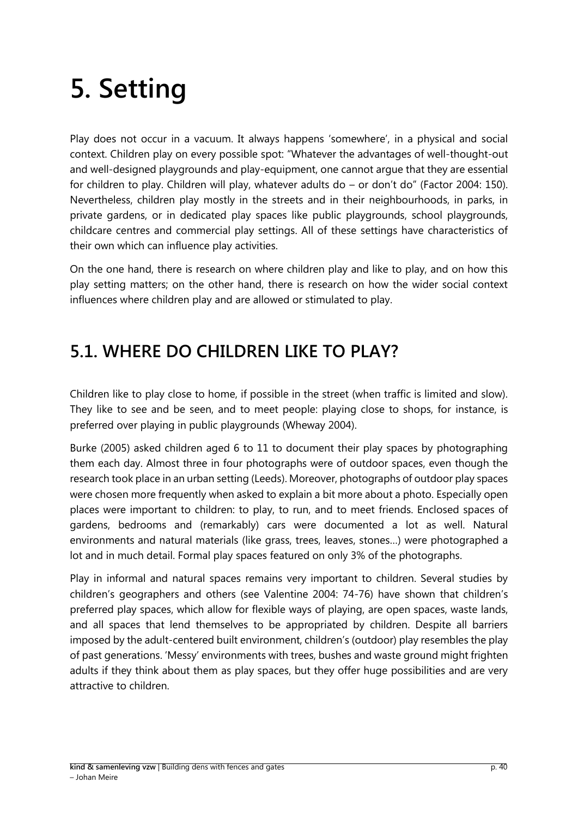# <span id="page-39-0"></span>**5. Setting**

Play does not occur in a vacuum. It always happens 'somewhere', in a physical and social context. Children play on every possible spot: "Whatever the advantages of well-thought-out and well-designed playgrounds and play-equipment, one cannot argue that they are essential for children to play. Children will play, whatever adults do – or don't do" (Factor 2004: 150). Nevertheless, children play mostly in the streets and in their neighbourhoods, in parks, in private gardens, or in dedicated play spaces like public playgrounds, school playgrounds, childcare centres and commercial play settings. All of these settings have characteristics of their own which can influence play activities.

On the one hand, there is research on where children play and like to play, and on how this play setting matters; on the other hand, there is research on how the wider social context influences where children play and are allowed or stimulated to play.

## <span id="page-39-1"></span>**5.1. WHERE DO CHILDREN LIKE TO PLAY?**

Children like to play close to home, if possible in the street (when traffic is limited and slow). They like to see and be seen, and to meet people: playing close to shops, for instance, is preferred over playing in public playgrounds (Wheway 2004).

Burke (2005) asked children aged 6 to 11 to document their play spaces by photographing them each day. Almost three in four photographs were of outdoor spaces, even though the research took place in an urban setting (Leeds). Moreover, photographs of outdoor play spaces were chosen more frequently when asked to explain a bit more about a photo. Especially open places were important to children: to play, to run, and to meet friends. Enclosed spaces of gardens, bedrooms and (remarkably) cars were documented a lot as well. Natural environments and natural materials (like grass, trees, leaves, stones…) were photographed a lot and in much detail. Formal play spaces featured on only 3% of the photographs.

Play in informal and natural spaces remains very important to children. Several studies by children's geographers and others (see Valentine 2004: 74-76) have shown that children's preferred play spaces, which allow for flexible ways of playing, are open spaces, waste lands, and all spaces that lend themselves to be appropriated by children. Despite all barriers imposed by the adult-centered built environment, children's (outdoor) play resembles the play of past generations. 'Messy' environments with trees, bushes and waste ground might frighten adults if they think about them as play spaces, but they offer huge possibilities and are very attractive to children.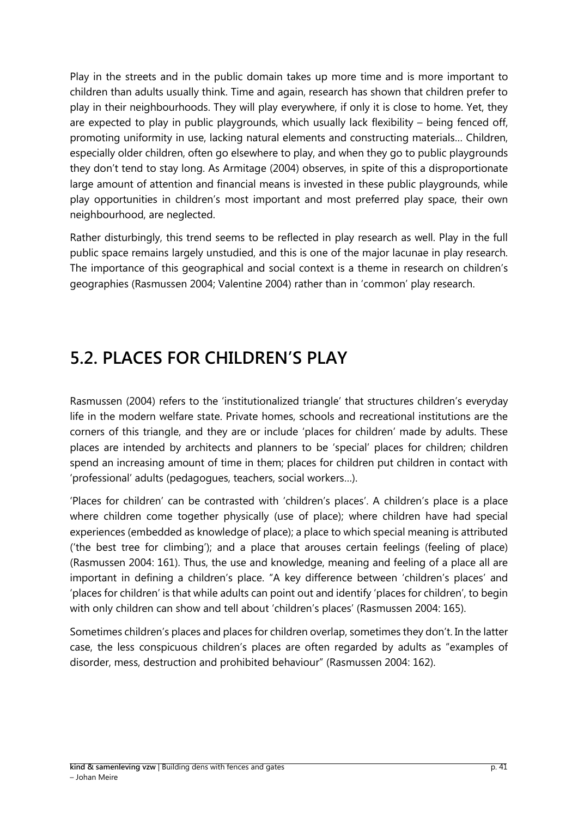Play in the streets and in the public domain takes up more time and is more important to children than adults usually think. Time and again, research has shown that children prefer to play in their neighbourhoods. They will play everywhere, if only it is close to home. Yet, they are expected to play in public playgrounds, which usually lack flexibility – being fenced off, promoting uniformity in use, lacking natural elements and constructing materials… Children, especially older children, often go elsewhere to play, and when they go to public playgrounds they don't tend to stay long. As Armitage (2004) observes, in spite of this a disproportionate large amount of attention and financial means is invested in these public playgrounds, while play opportunities in children's most important and most preferred play space, their own neighbourhood, are neglected.

Rather disturbingly, this trend seems to be reflected in play research as well. Play in the full public space remains largely unstudied, and this is one of the major lacunae in play research. The importance of this geographical and social context is a theme in research on children's geographies (Rasmussen 2004; Valentine 2004) rather than in 'common' play research.

## <span id="page-40-0"></span>**5.2. PLACES FOR CHILDREN'S PLAY**

Rasmussen (2004) refers to the 'institutionalized triangle' that structures children's everyday life in the modern welfare state. Private homes, schools and recreational institutions are the corners of this triangle, and they are or include 'places for children' made by adults. These places are intended by architects and planners to be 'special' places for children; children spend an increasing amount of time in them; places for children put children in contact with 'professional' adults (pedagogues, teachers, social workers…).

'Places for children' can be contrasted with 'children's places'. A children's place is a place where children come together physically (use of place); where children have had special experiences (embedded as knowledge of place); a place to which special meaning is attributed ('the best tree for climbing'); and a place that arouses certain feelings (feeling of place) (Rasmussen 2004: 161). Thus, the use and knowledge, meaning and feeling of a place all are important in defining a children's place. "A key difference between 'children's places' and 'places for children' is that while adults can point out and identify 'places for children', to begin with only children can show and tell about 'children's places' (Rasmussen 2004: 165).

Sometimes children's places and places for children overlap, sometimes they don't. In the latter case, the less conspicuous children's places are often regarded by adults as "examples of disorder, mess, destruction and prohibited behaviour" (Rasmussen 2004: 162).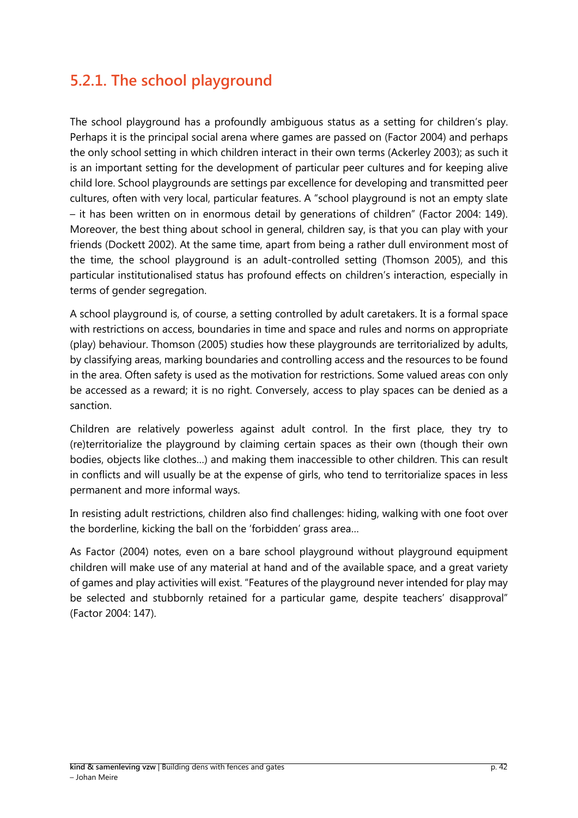#### <span id="page-41-0"></span>**5.2.1. The school playground**

The school playground has a profoundly ambiguous status as a setting for children's play. Perhaps it is the principal social arena where games are passed on (Factor 2004) and perhaps the only school setting in which children interact in their own terms (Ackerley 2003); as such it is an important setting for the development of particular peer cultures and for keeping alive child lore. School playgrounds are settings par excellence for developing and transmitted peer cultures, often with very local, particular features. A "school playground is not an empty slate – it has been written on in enormous detail by generations of children" (Factor 2004: 149). Moreover, the best thing about school in general, children say, is that you can play with your friends (Dockett 2002). At the same time, apart from being a rather dull environment most of the time, the school playground is an adult-controlled setting (Thomson 2005), and this particular institutionalised status has profound effects on children's interaction, especially in terms of gender segregation.

A school playground is, of course, a setting controlled by adult caretakers. It is a formal space with restrictions on access, boundaries in time and space and rules and norms on appropriate (play) behaviour. Thomson (2005) studies how these playgrounds are territorialized by adults, by classifying areas, marking boundaries and controlling access and the resources to be found in the area. Often safety is used as the motivation for restrictions. Some valued areas con only be accessed as a reward; it is no right. Conversely, access to play spaces can be denied as a sanction.

Children are relatively powerless against adult control. In the first place, they try to (re)territorialize the playground by claiming certain spaces as their own (though their own bodies, objects like clothes…) and making them inaccessible to other children. This can result in conflicts and will usually be at the expense of girls, who tend to territorialize spaces in less permanent and more informal ways.

In resisting adult restrictions, children also find challenges: hiding, walking with one foot over the borderline, kicking the ball on the 'forbidden' grass area…

As Factor (2004) notes, even on a bare school playground without playground equipment children will make use of any material at hand and of the available space, and a great variety of games and play activities will exist. "Features of the playground never intended for play may be selected and stubbornly retained for a particular game, despite teachers' disapproval" (Factor 2004: 147).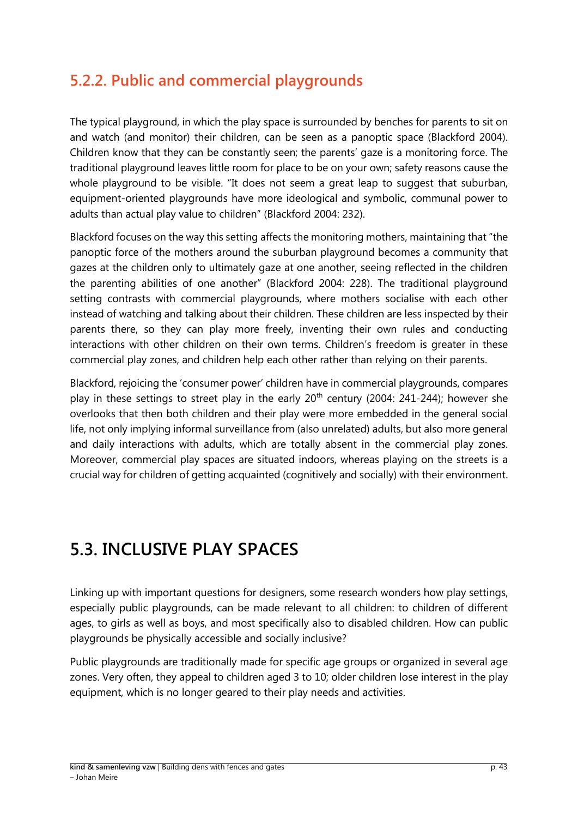### <span id="page-42-0"></span>**5.2.2. Public and commercial playgrounds**

The typical playground, in which the play space is surrounded by benches for parents to sit on and watch (and monitor) their children, can be seen as a panoptic space (Blackford 2004). Children know that they can be constantly seen; the parents' gaze is a monitoring force. The traditional playground leaves little room for place to be on your own; safety reasons cause the whole playground to be visible. "It does not seem a great leap to suggest that suburban, equipment-oriented playgrounds have more ideological and symbolic, communal power to adults than actual play value to children" (Blackford 2004: 232).

Blackford focuses on the way this setting affects the monitoring mothers, maintaining that "the panoptic force of the mothers around the suburban playground becomes a community that gazes at the children only to ultimately gaze at one another, seeing reflected in the children the parenting abilities of one another" (Blackford 2004: 228). The traditional playground setting contrasts with commercial playgrounds, where mothers socialise with each other instead of watching and talking about their children. These children are less inspected by their parents there, so they can play more freely, inventing their own rules and conducting interactions with other children on their own terms. Children's freedom is greater in these commercial play zones, and children help each other rather than relying on their parents.

Blackford, rejoicing the 'consumer power' children have in commercial playgrounds, compares play in these settings to street play in the early  $20<sup>th</sup>$  century (2004: 241-244); however she overlooks that then both children and their play were more embedded in the general social life, not only implying informal surveillance from (also unrelated) adults, but also more general and daily interactions with adults, which are totally absent in the commercial play zones. Moreover, commercial play spaces are situated indoors, whereas playing on the streets is a crucial way for children of getting acquainted (cognitively and socially) with their environment.

# <span id="page-42-1"></span>**5.3. INCLUSIVE PLAY SPACES**

Linking up with important questions for designers, some research wonders how play settings, especially public playgrounds, can be made relevant to all children: to children of different ages, to girls as well as boys, and most specifically also to disabled children. How can public playgrounds be physically accessible and socially inclusive?

Public playgrounds are traditionally made for specific age groups or organized in several age zones. Very often, they appeal to children aged 3 to 10; older children lose interest in the play equipment, which is no longer geared to their play needs and activities.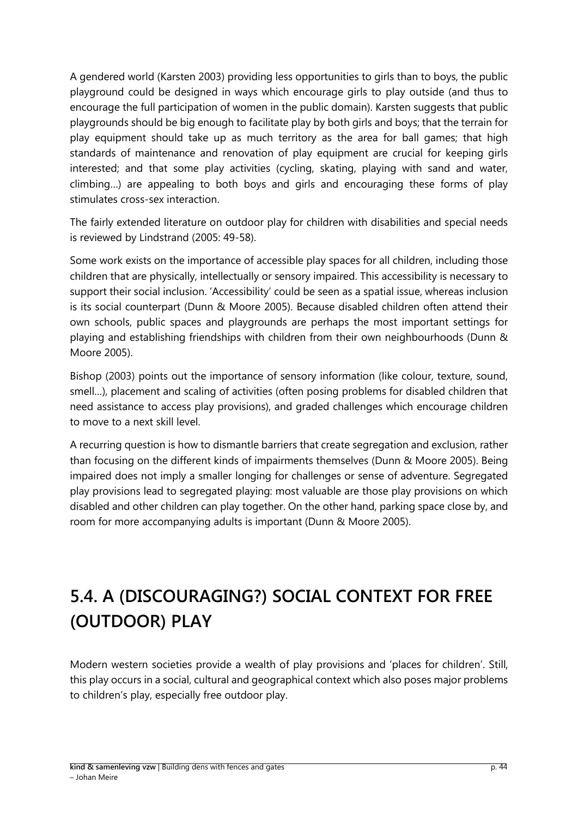A gendered world (Karsten 2003) providing less opportunities to girls than to boys, the public playground could be designed in ways which encourage girls to play outside (and thus to encourage the full participation of women in the public domain). Karsten suggests that public playgrounds should be big enough to facilitate play by both girls and boys; that the terrain for play equipment should take up as much territory as the area for ball games; that high standards of maintenance and renovation of play equipment are crucial for keeping girls interested; and that some play activities (cycling, skating, playing with sand and water, climbing…) are appealing to both boys and girls and encouraging these forms of play stimulates cross-sex interaction.

The fairly extended literature on outdoor play for children with disabilities and special needs is reviewed by Lindstrand (2005: 49-58).

Some work exists on the importance of accessible play spaces for all children, including those children that are physically, intellectually or sensory impaired. This accessibility is necessary to support their social inclusion. 'Accessibility' could be seen as a spatial issue, whereas inclusion is its social counterpart (Dunn & Moore 2005). Because disabled children often attend their own schools, public spaces and playgrounds are perhaps the most important settings for playing and establishing friendships with children from their own neighbourhoods (Dunn & Moore 2005).

Bishop (2003) points out the importance of sensory information (like colour, texture, sound, smell…), placement and scaling of activities (often posing problems for disabled children that need assistance to access play provisions), and graded challenges which encourage children to move to a next skill level.

A recurring question is how to dismantle barriers that create segregation and exclusion, rather than focusing on the different kinds of impairments themselves (Dunn & Moore 2005). Being impaired does not imply a smaller longing for challenges or sense of adventure. Segregated play provisions lead to segregated playing: most valuable are those play provisions on which disabled and other children can play together. On the other hand, parking space close by, and room for more accompanying adults is important (Dunn & Moore 2005).

# <span id="page-43-0"></span>**5.4. A (DISCOURAGING?) SOCIAL CONTEXT FOR FREE (OUTDOOR) PLAY**

Modern western societies provide a wealth of play provisions and 'places for children'. Still, this play occurs in a social, cultural and geographical context which also poses major problems to children's play, especially free outdoor play.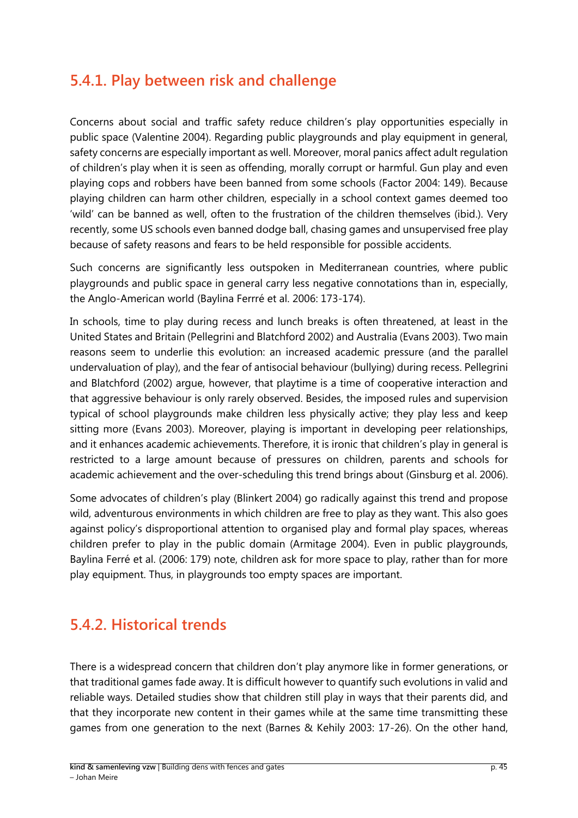#### <span id="page-44-0"></span>**5.4.1. Play between risk and challenge**

Concerns about social and traffic safety reduce children's play opportunities especially in public space (Valentine 2004). Regarding public playgrounds and play equipment in general, safety concerns are especially important as well. Moreover, moral panics affect adult regulation of children's play when it is seen as offending, morally corrupt or harmful. Gun play and even playing cops and robbers have been banned from some schools (Factor 2004: 149). Because playing children can harm other children, especially in a school context games deemed too 'wild' can be banned as well, often to the frustration of the children themselves (ibid.). Very recently, some US schools even banned dodge ball, chasing games and unsupervised free play because of safety reasons and fears to be held responsible for possible accidents.

Such concerns are significantly less outspoken in Mediterranean countries, where public playgrounds and public space in general carry less negative connotations than in, especially, the Anglo-American world (Baylina Ferrré et al. 2006: 173-174).

In schools, time to play during recess and lunch breaks is often threatened, at least in the United States and Britain (Pellegrini and Blatchford 2002) and Australia (Evans 2003). Two main reasons seem to underlie this evolution: an increased academic pressure (and the parallel undervaluation of play), and the fear of antisocial behaviour (bullying) during recess. Pellegrini and Blatchford (2002) argue, however, that playtime is a time of cooperative interaction and that aggressive behaviour is only rarely observed. Besides, the imposed rules and supervision typical of school playgrounds make children less physically active; they play less and keep sitting more (Evans 2003). Moreover, playing is important in developing peer relationships, and it enhances academic achievements. Therefore, it is ironic that children's play in general is restricted to a large amount because of pressures on children, parents and schools for academic achievement and the over-scheduling this trend brings about (Ginsburg et al. 2006).

Some advocates of children's play (Blinkert 2004) go radically against this trend and propose wild, adventurous environments in which children are free to play as they want. This also goes against policy's disproportional attention to organised play and formal play spaces, whereas children prefer to play in the public domain (Armitage 2004). Even in public playgrounds, Baylina Ferré et al. (2006: 179) note, children ask for more space to play, rather than for more play equipment. Thus, in playgrounds too empty spaces are important.

#### <span id="page-44-1"></span>**5.4.2. Historical trends**

There is a widespread concern that children don't play anymore like in former generations, or that traditional games fade away. It is difficult however to quantify such evolutions in valid and reliable ways. Detailed studies show that children still play in ways that their parents did, and that they incorporate new content in their games while at the same time transmitting these games from one generation to the next (Barnes & Kehily 2003: 17-26). On the other hand,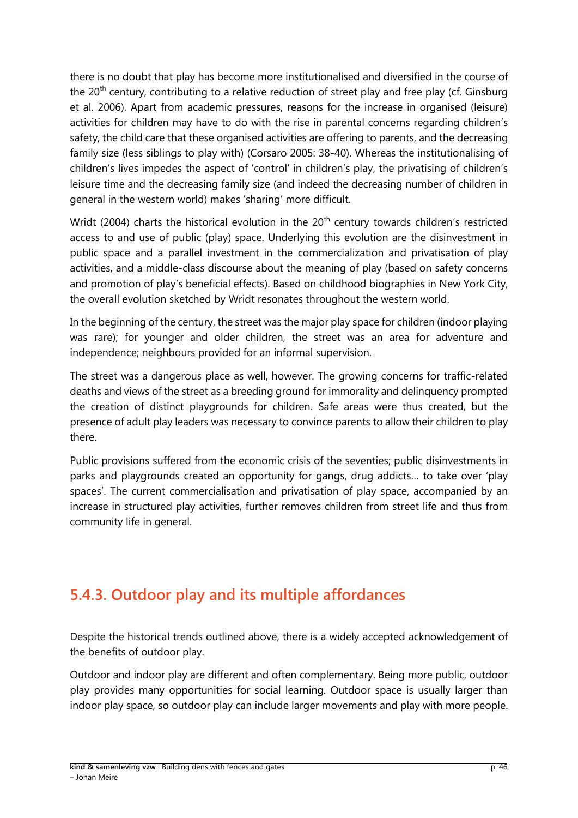there is no doubt that play has become more institutionalised and diversified in the course of the  $20<sup>th</sup>$  century, contributing to a relative reduction of street play and free play (cf. Ginsburg et al. 2006). Apart from academic pressures, reasons for the increase in organised (leisure) activities for children may have to do with the rise in parental concerns regarding children's safety, the child care that these organised activities are offering to parents, and the decreasing family size (less siblings to play with) (Corsaro 2005: 38-40). Whereas the institutionalising of children's lives impedes the aspect of 'control' in children's play, the privatising of children's leisure time and the decreasing family size (and indeed the decreasing number of children in general in the western world) makes 'sharing' more difficult.

Wridt (2004) charts the historical evolution in the 20<sup>th</sup> century towards children's restricted access to and use of public (play) space. Underlying this evolution are the disinvestment in public space and a parallel investment in the commercialization and privatisation of play activities, and a middle-class discourse about the meaning of play (based on safety concerns and promotion of play's beneficial effects). Based on childhood biographies in New York City, the overall evolution sketched by Wridt resonates throughout the western world.

In the beginning of the century, the street was the major play space for children (indoor playing was rare); for younger and older children, the street was an area for adventure and independence; neighbours provided for an informal supervision.

The street was a dangerous place as well, however. The growing concerns for traffic-related deaths and views of the street as a breeding ground for immorality and delinquency prompted the creation of distinct playgrounds for children. Safe areas were thus created, but the presence of adult play leaders was necessary to convince parents to allow their children to play there.

Public provisions suffered from the economic crisis of the seventies; public disinvestments in parks and playgrounds created an opportunity for gangs, drug addicts… to take over 'play spaces'. The current commercialisation and privatisation of play space, accompanied by an increase in structured play activities, further removes children from street life and thus from community life in general.

### <span id="page-45-0"></span>**5.4.3. Outdoor play and its multiple affordances**

Despite the historical trends outlined above, there is a widely accepted acknowledgement of the benefits of outdoor play.

Outdoor and indoor play are different and often complementary. Being more public, outdoor play provides many opportunities for social learning. Outdoor space is usually larger than indoor play space, so outdoor play can include larger movements and play with more people.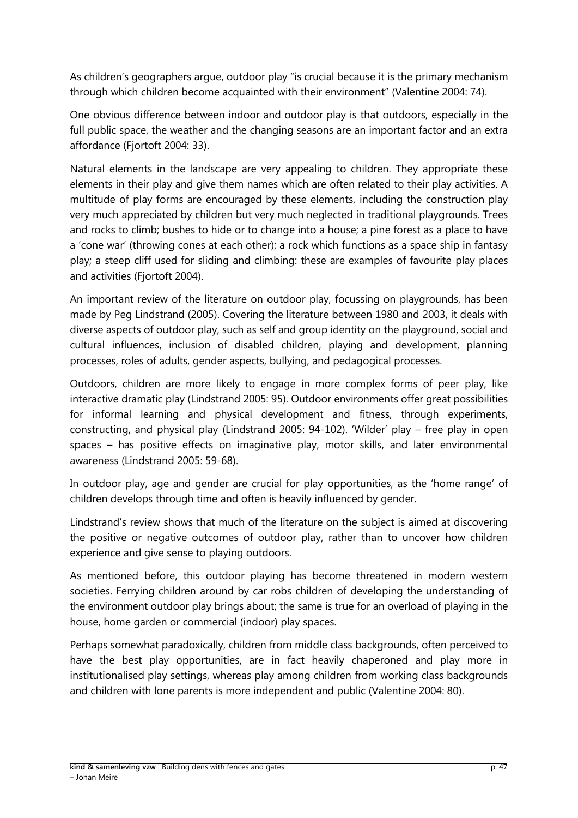As children's geographers argue, outdoor play "is crucial because it is the primary mechanism through which children become acquainted with their environment" (Valentine 2004: 74).

One obvious difference between indoor and outdoor play is that outdoors, especially in the full public space, the weather and the changing seasons are an important factor and an extra affordance (Fjortoft 2004: 33).

Natural elements in the landscape are very appealing to children. They appropriate these elements in their play and give them names which are often related to their play activities. A multitude of play forms are encouraged by these elements, including the construction play very much appreciated by children but very much neglected in traditional playgrounds. Trees and rocks to climb; bushes to hide or to change into a house; a pine forest as a place to have a 'cone war' (throwing cones at each other); a rock which functions as a space ship in fantasy play; a steep cliff used for sliding and climbing: these are examples of favourite play places and activities (Fjortoft 2004).

An important review of the literature on outdoor play, focussing on playgrounds, has been made by Peg Lindstrand (2005). Covering the literature between 1980 and 2003, it deals with diverse aspects of outdoor play, such as self and group identity on the playground, social and cultural influences, inclusion of disabled children, playing and development, planning processes, roles of adults, gender aspects, bullying, and pedagogical processes.

Outdoors, children are more likely to engage in more complex forms of peer play, like interactive dramatic play (Lindstrand 2005: 95). Outdoor environments offer great possibilities for informal learning and physical development and fitness, through experiments, constructing, and physical play (Lindstrand 2005: 94-102). 'Wilder' play – free play in open spaces – has positive effects on imaginative play, motor skills, and later environmental awareness (Lindstrand 2005: 59-68).

In outdoor play, age and gender are crucial for play opportunities, as the 'home range' of children develops through time and often is heavily influenced by gender.

Lindstrand's review shows that much of the literature on the subject is aimed at discovering the positive or negative outcomes of outdoor play, rather than to uncover how children experience and give sense to playing outdoors.

As mentioned before, this outdoor playing has become threatened in modern western societies. Ferrying children around by car robs children of developing the understanding of the environment outdoor play brings about; the same is true for an overload of playing in the house, home garden or commercial (indoor) play spaces.

Perhaps somewhat paradoxically, children from middle class backgrounds, often perceived to have the best play opportunities, are in fact heavily chaperoned and play more in institutionalised play settings, whereas play among children from working class backgrounds and children with lone parents is more independent and public (Valentine 2004: 80).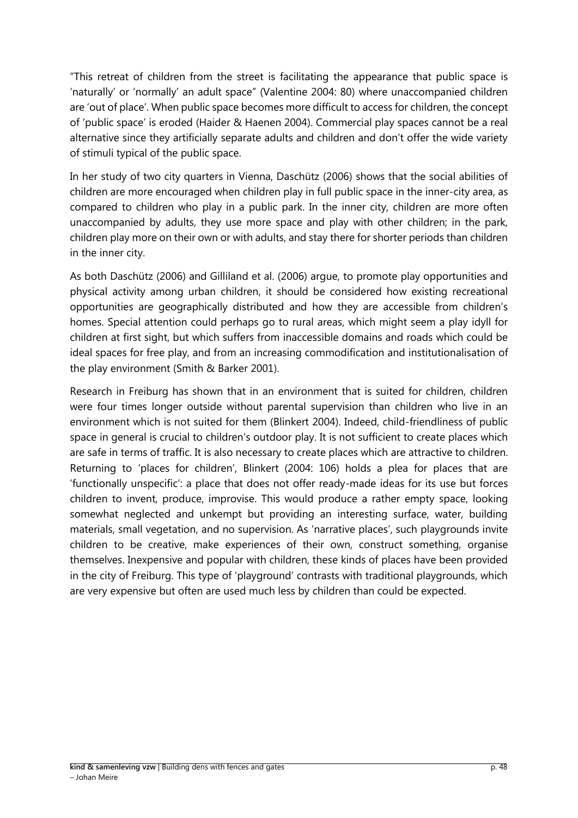"This retreat of children from the street is facilitating the appearance that public space is 'naturally' or 'normally' an adult space" (Valentine 2004: 80) where unaccompanied children are 'out of place'. When public space becomes more difficult to access for children, the concept of 'public space' is eroded (Haider & Haenen 2004). Commercial play spaces cannot be a real alternative since they artificially separate adults and children and don't offer the wide variety of stimuli typical of the public space.

In her study of two city quarters in Vienna, Daschütz (2006) shows that the social abilities of children are more encouraged when children play in full public space in the inner-city area, as compared to children who play in a public park. In the inner city, children are more often unaccompanied by adults, they use more space and play with other children; in the park, children play more on their own or with adults, and stay there for shorter periods than children in the inner city.

As both Daschütz (2006) and Gilliland et al. (2006) argue, to promote play opportunities and physical activity among urban children, it should be considered how existing recreational opportunities are geographically distributed and how they are accessible from children's homes. Special attention could perhaps go to rural areas, which might seem a play idyll for children at first sight, but which suffers from inaccessible domains and roads which could be ideal spaces for free play, and from an increasing commodification and institutionalisation of the play environment (Smith & Barker 2001).

<span id="page-47-0"></span>Research in Freiburg has shown that in an environment that is suited for children, children were four times longer outside without parental supervision than children who live in an environment which is not suited for them (Blinkert 2004). Indeed, child-friendliness of public space in general is crucial to children's outdoor play. It is not sufficient to create places which are safe in terms of traffic. It is also necessary to create places which are attractive to children. Returning to 'places for children', Blinkert (2004: 106) holds a plea for places that are 'functionally unspecific': a place that does not offer ready-made ideas for its use but forces children to invent, produce, improvise. This would produce a rather empty space, looking somewhat neglected and unkempt but providing an interesting surface, water, building materials, small vegetation, and no supervision. As 'narrative places', such playgrounds invite children to be creative, make experiences of their own, construct something, organise themselves. Inexpensive and popular with children, these kinds of places have been provided in the city of Freiburg. This type of 'playground' contrasts with traditional playgrounds, which are very expensive but often are used much less by children than could be expected.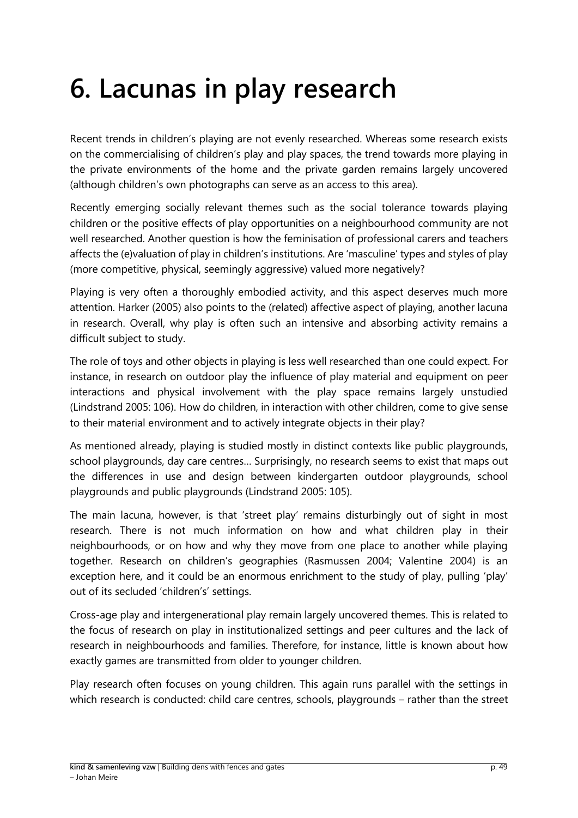# **6. Lacunas in play research**

Recent trends in children's playing are not evenly researched. Whereas some research exists on the commercialising of children's play and play spaces, the trend towards more playing in the private environments of the home and the private garden remains largely uncovered (although children's own photographs can serve as an access to this area).

Recently emerging socially relevant themes such as the social tolerance towards playing children or the positive effects of play opportunities on a neighbourhood community are not well researched. Another question is how the feminisation of professional carers and teachers affects the (e)valuation of play in children's institutions. Are 'masculine' types and styles of play (more competitive, physical, seemingly aggressive) valued more negatively?

Playing is very often a thoroughly embodied activity, and this aspect deserves much more attention. Harker (2005) also points to the (related) affective aspect of playing, another lacuna in research. Overall, why play is often such an intensive and absorbing activity remains a difficult subject to study.

The role of toys and other objects in playing is less well researched than one could expect. For instance, in research on outdoor play the influence of play material and equipment on peer interactions and physical involvement with the play space remains largely unstudied (Lindstrand 2005: 106). How do children, in interaction with other children, come to give sense to their material environment and to actively integrate objects in their play?

As mentioned already, playing is studied mostly in distinct contexts like public playgrounds, school playgrounds, day care centres… Surprisingly, no research seems to exist that maps out the differences in use and design between kindergarten outdoor playgrounds, school playgrounds and public playgrounds (Lindstrand 2005: 105).

The main lacuna, however, is that 'street play' remains disturbingly out of sight in most research. There is not much information on how and what children play in their neighbourhoods, or on how and why they move from one place to another while playing together. Research on children's geographies (Rasmussen 2004; Valentine 2004) is an exception here, and it could be an enormous enrichment to the study of play, pulling 'play' out of its secluded 'children's' settings.

Cross-age play and intergenerational play remain largely uncovered themes. This is related to the focus of research on play in institutionalized settings and peer cultures and the lack of research in neighbourhoods and families. Therefore, for instance, little is known about how exactly games are transmitted from older to younger children.

Play research often focuses on young children. This again runs parallel with the settings in which research is conducted: child care centres, schools, playgrounds – rather than the street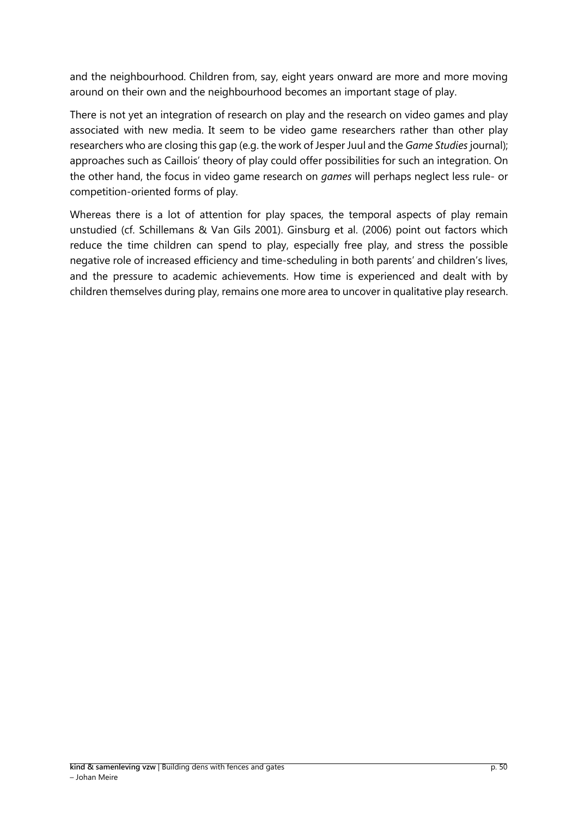and the neighbourhood. Children from, say, eight years onward are more and more moving around on their own and the neighbourhood becomes an important stage of play.

There is not yet an integration of research on play and the research on video games and play associated with new media. It seem to be video game researchers rather than other play researchers who are closing this gap (e.g. the work of Jesper Juul and the *Game Studies* journal); approaches such as Caillois' theory of play could offer possibilities for such an integration. On the other hand, the focus in video game research on *games* will perhaps neglect less rule- or competition-oriented forms of play.

Whereas there is a lot of attention for play spaces, the temporal aspects of play remain unstudied (cf. Schillemans & Van Gils 2001). Ginsburg et al. (2006) point out factors which reduce the time children can spend to play, especially free play, and stress the possible negative role of increased efficiency and time-scheduling in both parents' and children's lives, and the pressure to academic achievements. How time is experienced and dealt with by children themselves during play, remains one more area to uncover in qualitative play research.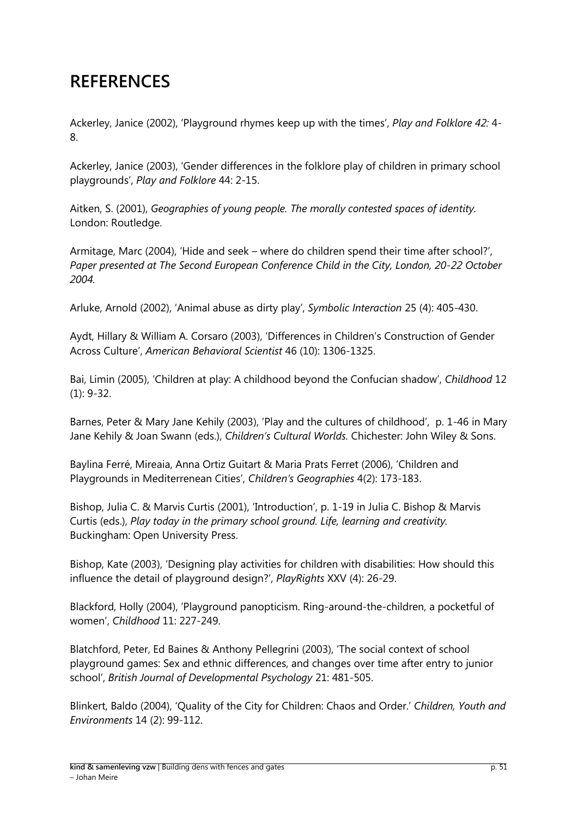# <span id="page-50-0"></span>**REFERENCES**

Ackerley, Janice (2002), 'Playground rhymes keep up with the times', *Play and Folklore 42:* 4- 8.

Ackerley, Janice (2003), 'Gender differences in the folklore play of children in primary school playgrounds', *Play and Folklore* 44: 2-15.

Aitken, S. (2001), *Geographies of young people. The morally contested spaces of identity.*  London: Routledge.

Armitage, Marc (2004), 'Hide and seek – where do children spend their time after school?', *Paper presented at The Second European Conference Child in the City, London, 20-22 October 2004.*

Arluke, Arnold (2002), 'Animal abuse as dirty play', *Symbolic Interaction* 25 (4): 405-430.

Aydt, Hillary & William A. Corsaro (2003), 'Differences in Children's Construction of Gender Across Culture', *American Behavioral Scientist* 46 (10): 1306-1325.

Bai, Limin (2005), 'Children at play: A childhood beyond the Confucian shadow', *Childhood* 12 (1): 9-32.

Barnes, Peter & Mary Jane Kehily (2003), 'Play and the cultures of childhood', p. 1-46 in Mary Jane Kehily & Joan Swann (eds.), *Children's Cultural Worlds.* Chichester: John Wiley & Sons.

Baylina Ferré, Mireaia, Anna Ortiz Guitart & Maria Prats Ferret (2006), 'Children and Playgrounds in Mediterrenean Cities', *Children's Geographies* 4(2): 173-183.

Bishop, Julia C. & Marvis Curtis (2001), 'Introduction', p. 1-19 in Julia C. Bishop & Marvis Curtis (eds.), *Play today in the primary school ground. Life, learning and creativity.* Buckingham: Open University Press.

Bishop, Kate (2003), 'Designing play activities for children with disabilities: How should this influence the detail of playground design?', *PlayRights* XXV (4): 26-29.

Blackford, Holly (2004), 'Playground panopticism. Ring-around-the-children, a pocketful of women', *Childhood* 11: 227-249.

Blatchford, Peter, Ed Baines & Anthony Pellegrini (2003), 'The social context of school playground games: Sex and ethnic differences, and changes over time after entry to junior school', *British Journal of Developmental Psychology* 21: 481-505.

Blinkert, Baldo (2004), 'Quality of the City for Children: Chaos and Order.' *Children, Youth and Environments* 14 (2): 99-112.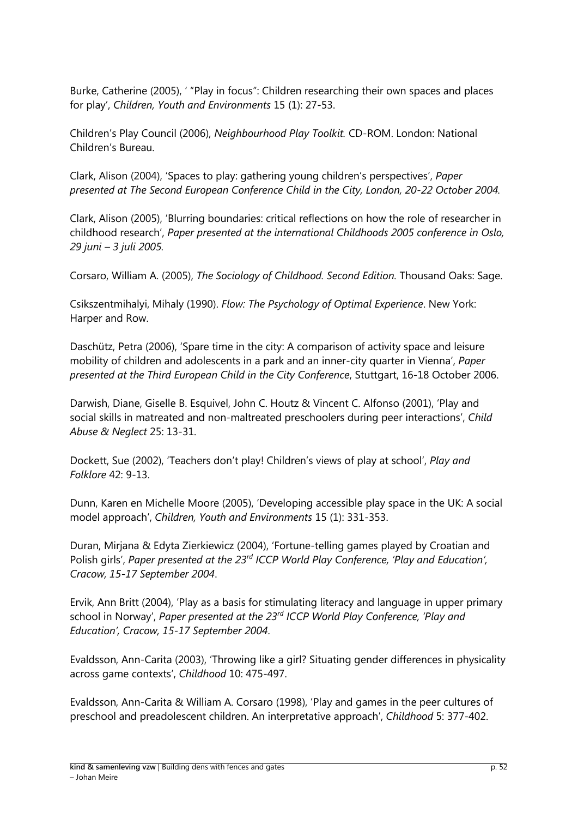Burke, Catherine (2005), ' "Play in focus": Children researching their own spaces and places for play', *Children, Youth and Environments* 15 (1): 27-53.

Children's Play Council (2006), *Neighbourhood Play Toolkit.* CD-ROM. London: National Children's Bureau.

Clark, Alison (2004), 'Spaces to play: gathering young children's perspectives', *Paper presented at The Second European Conference Child in the City, London, 20-22 October 2004.*

Clark, Alison (2005), 'Blurring boundaries: critical reflections on how the role of researcher in childhood research', *Paper presented at the international Childhoods 2005 conference in Oslo, 29 juni – 3 juli 2005.*

Corsaro, William A. (2005), *The Sociology of Childhood. Second Edition.* Thousand Oaks: Sage.

Csikszentmihalyi, Mihaly (1990). *Flow: The Psychology of Optimal Experience*. New York: Harper and Row.

Daschütz, Petra (2006), 'Spare time in the city: A comparison of activity space and leisure mobility of children and adolescents in a park and an inner-city quarter in Vienna', *Paper presented at the Third European Child in the City Conference*, Stuttgart, 16-18 October 2006.

Darwish, Diane, Giselle B. Esquivel, John C. Houtz & Vincent C. Alfonso (2001), 'Play and social skills in matreated and non-maltreated preschoolers during peer interactions', *Child Abuse & Neglect* 25: 13-31.

Dockett, Sue (2002), 'Teachers don't play! Children's views of play at school', *Play and Folklore* 42: 9-13.

Dunn, Karen en Michelle Moore (2005), 'Developing accessible play space in the UK: A social model approach', *Children, Youth and Environments* 15 (1): 331-353.

Duran, Mirjana & Edyta Zierkiewicz (2004), 'Fortune-telling games played by Croatian and Polish girls', *Paper presented at the 23rd ICCP World Play Conference, 'Play and Education', Cracow, 15-17 September 2004*.

Ervik, Ann Britt (2004), 'Play as a basis for stimulating literacy and language in upper primary school in Norway', *Paper presented at the 23rd ICCP World Play Conference, 'Play and Education', Cracow, 15-17 September 2004*.

Evaldsson, Ann-Carita (2003), 'Throwing like a girl? Situating gender differences in physicality across game contexts', *Childhood* 10: 475-497.

Evaldsson, Ann-Carita & William A. Corsaro (1998), 'Play and games in the peer cultures of preschool and preadolescent children. An interpretative approach', *Childhood* 5: 377-402.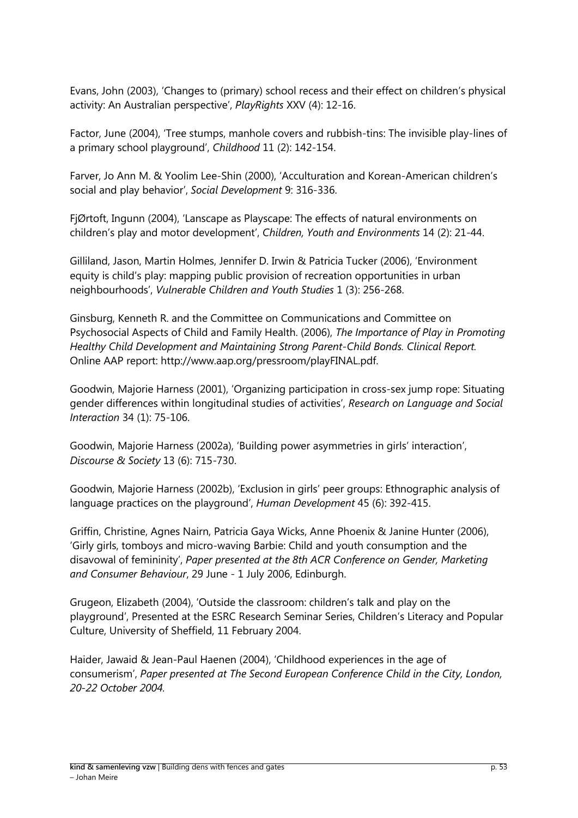Evans, John (2003), 'Changes to (primary) school recess and their effect on children's physical activity: An Australian perspective', *PlayRights* XXV (4): 12-16.

Factor, June (2004), 'Tree stumps, manhole covers and rubbish-tins: The invisible play-lines of a primary school playground', *Childhood* 11 (2): 142-154.

Farver, Jo Ann M. & Yoolim Lee-Shin (2000), 'Acculturation and Korean-American children's social and play behavior', *Social Development* 9: 316-336.

FjØrtoft, Ingunn (2004), 'Lanscape as Playscape: The effects of natural environments on children's play and motor development', *Children, Youth and Environments* 14 (2): 21-44.

Gilliland, Jason, Martin Holmes, Jennifer D. Irwin & Patricia Tucker (2006), 'Environment equity is child's play: mapping public provision of recreation opportunities in urban neighbourhoods', *Vulnerable Children and Youth Studies* 1 (3): 256-268.

Ginsburg, Kenneth R. and the Committee on Communications and Committee on Psychosocial Aspects of Child and Family Health. (2006), *The Importance of Play in Promoting Healthy Child Development and Maintaining Strong Parent-Child Bonds. Clinical Report.*  Online AAP report: http://www.aap.org/pressroom/playFINAL.pdf.

Goodwin, Majorie Harness (2001), 'Organizing participation in cross-sex jump rope: Situating gender differences within longitudinal studies of activities', *Research on Language and Social Interaction* 34 (1): 75-106.

Goodwin, Majorie Harness (2002a), 'Building power asymmetries in girls' interaction', *Discourse & Society* 13 (6): 715-730.

Goodwin, Majorie Harness (2002b), 'Exclusion in girls' peer groups: Ethnographic analysis of language practices on the playground', *Human Development* 45 (6): 392-415.

Griffin, Christine, Agnes Nairn, Patricia Gaya Wicks, Anne Phoenix & Janine Hunter (2006), 'Girly girls, tomboys and micro-waving Barbie: Child and youth consumption and the disavowal of femininity', *Paper presented at the 8th ACR Conference on Gender, Marketing and Consumer Behaviour*, 29 June - 1 July 2006, Edinburgh.

Grugeon, Elizabeth (2004), 'Outside the classroom: children's talk and play on the playground', Presented at the ESRC Research Seminar Series, Children's Literacy and Popular Culture, University of Sheffield, 11 February 2004.

Haider, Jawaid & Jean-Paul Haenen (2004), 'Childhood experiences in the age of consumerism', *Paper presented at The Second European Conference Child in the City, London, 20-22 October 2004.*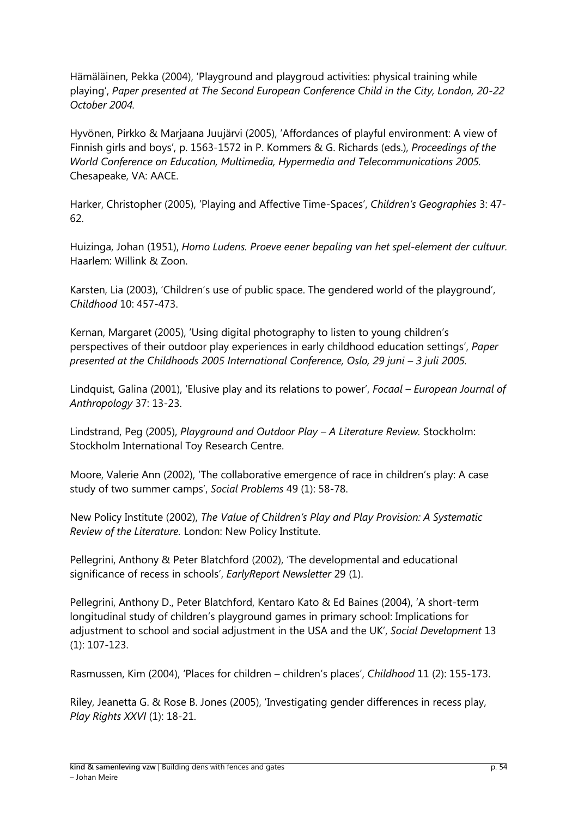Hämäläinen, Pekka (2004), 'Playground and playgroud activities: physical training while playing', *Paper presented at The Second European Conference Child in the City, London, 20-22 October 2004.*

Hyvönen, Pirkko & Marjaana Juujärvi (2005), 'Affordances of playful environment: A view of Finnish girls and boys', p. 1563-1572 in P. Kommers & G. Richards (eds.), *Proceedings of the World Conference on Education, Multimedia, Hypermedia and Telecommunications 2005.*  Chesapeake, VA: AACE.

Harker, Christopher (2005), 'Playing and Affective Time-Spaces', *Children's Geographies* 3: 47- 62.

Huizinga, Johan (1951), *Homo Ludens. Proeve eener bepaling van het spel-element der cultuur.*  Haarlem: Willink & Zoon.

Karsten, Lia (2003), 'Children's use of public space. The gendered world of the playground', *Childhood* 10: 457-473.

Kernan, Margaret (2005), 'Using digital photography to listen to young children's perspectives of their outdoor play experiences in early childhood education settings', *Paper presented at the Childhoods 2005 International Conference, Oslo, 29 juni – 3 juli 2005.* 

Lindquist, Galina (2001), 'Elusive play and its relations to power', *Focaal – European Journal of Anthropology* 37: 13-23.

Lindstrand, Peg (2005), *Playground and Outdoor Play – A Literature Review.* Stockholm: Stockholm International Toy Research Centre.

Moore, Valerie Ann (2002), 'The collaborative emergence of race in children's play: A case study of two summer camps', *Social Problems* 49 (1): 58-78.

New Policy Institute (2002), *The Value of Children's Play and Play Provision: A Systematic Review of the Literature.* London: New Policy Institute.

Pellegrini, Anthony & Peter Blatchford (2002), 'The developmental and educational significance of recess in schools', *EarlyReport Newsletter* 29 (1).

Pellegrini, Anthony D., Peter Blatchford, Kentaro Kato & Ed Baines (2004), 'A short-term longitudinal study of children's playground games in primary school: Implications for adjustment to school and social adjustment in the USA and the UK', *Social Development* 13 (1): 107-123.

Rasmussen, Kim (2004), 'Places for children – children's places', *Childhood* 11 (2): 155-173.

Riley, Jeanetta G. & Rose B. Jones (2005), 'Investigating gender differences in recess play, *Play Rights XXVI* (1): 18-21.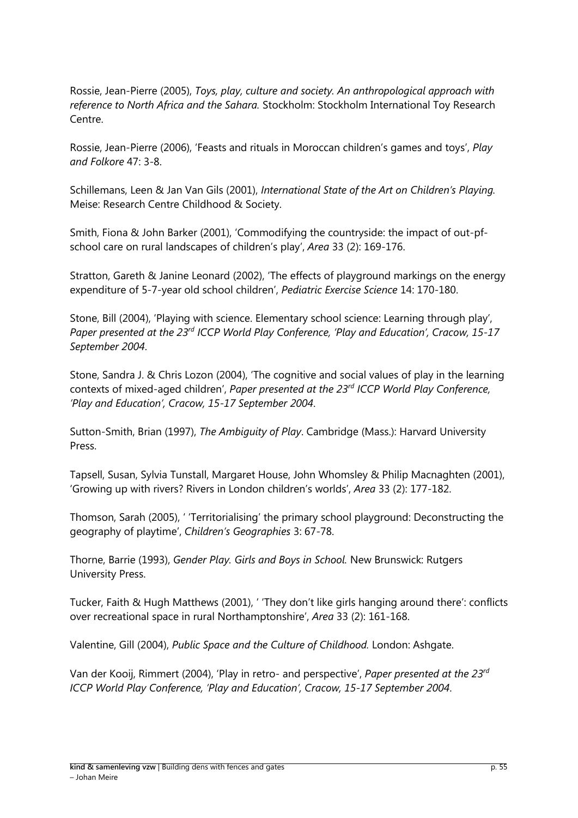Rossie, Jean-Pierre (2005), *Toys, play, culture and society. An anthropological approach with reference to North Africa and the Sahara.* Stockholm: Stockholm International Toy Research Centre.

Rossie, Jean-Pierre (2006), 'Feasts and rituals in Moroccan children's games and toys', *Play and Folkore* 47: 3-8.

Schillemans, Leen & Jan Van Gils (2001), *International State of the Art on Children's Playing.*  Meise: Research Centre Childhood & Society.

Smith, Fiona & John Barker (2001), 'Commodifying the countryside: the impact of out-pfschool care on rural landscapes of children's play', *Area* 33 (2): 169-176.

Stratton, Gareth & Janine Leonard (2002), 'The effects of playground markings on the energy expenditure of 5-7-year old school children', *Pediatric Exercise Science* 14: 170-180.

Stone, Bill (2004), 'Playing with science. Elementary school science: Learning through play', *Paper presented at the 23rd ICCP World Play Conference, 'Play and Education', Cracow, 15-17 September 2004*.

Stone, Sandra J. & Chris Lozon (2004), 'The cognitive and social values of play in the learning contexts of mixed-aged children', *Paper presented at the 23rd ICCP World Play Conference, 'Play and Education', Cracow, 15-17 September 2004*.

Sutton-Smith, Brian (1997), *The Ambiguity of Play*. Cambridge (Mass.): Harvard University Press.

Tapsell, Susan, Sylvia Tunstall, Margaret House, John Whomsley & Philip Macnaghten (2001), 'Growing up with rivers? Rivers in London children's worlds', *Area* 33 (2): 177-182.

Thomson, Sarah (2005), ' 'Territorialising' the primary school playground: Deconstructing the geography of playtime', *Children's Geographies* 3: 67-78.

Thorne, Barrie (1993), *Gender Play. Girls and Boys in School.* New Brunswick: Rutgers University Press.

Tucker, Faith & Hugh Matthews (2001), ' 'They don't like girls hanging around there': conflicts over recreational space in rural Northamptonshire', *Area* 33 (2): 161-168.

Valentine, Gill (2004), *Public Space and the Culture of Childhood.* London: Ashgate.

Van der Kooij, Rimmert (2004), 'Play in retro- and perspective', *Paper presented at the 23rd ICCP World Play Conference, 'Play and Education', Cracow, 15-17 September 2004*.